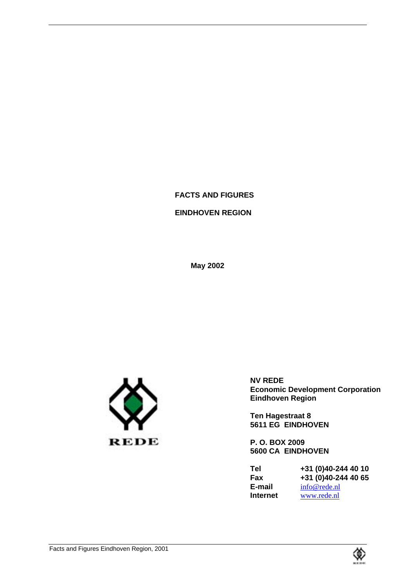# **FACTS AND FIGURES**

# **EINDHOVEN REGION**

**May 2002**



**NV REDE Economic Development Corporation Eindhoven Region**

**Ten Hagestraat 8 5611 EG EINDHOVEN**

**P. O. BOX 2009 5600 CA EINDHOVEN**

**Tel +31 (0)40-244 40 10 Fax** +31 (0)40-244 40 65<br>**E-mail** info@rede.nl **E-mail**  $\frac{\text{info@rede.nl}}{\text{www.rede.nl}}$ www.rede.nl

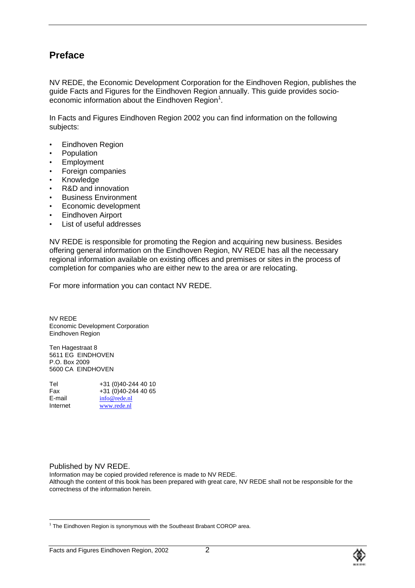# **Preface**

NV REDE, the Economic Development Corporation for the Eindhoven Region, publishes the guide Facts and Figures for the Eindhoven Region annually. This guide provides socioeconomic information about the Eindhoven Region $1$ .

In Facts and Figures Eindhoven Region 2002 you can find information on the following subjects:

- Eindhoven Region
- Population
- **Employment**
- Foreign companies
- Knowledge
- R&D and innovation
- Business Environment
- Economic development
- Eindhoven Airport
- List of useful addresses

NV REDE is responsible for promoting the Region and acquiring new business. Besides offering general information on the Eindhoven Region, NV REDE has all the necessary regional information available on existing offices and premises or sites in the process of completion for companies who are either new to the area or are relocating.

For more information you can contact NV REDE.

NV REDE Economic Development Corporation Eindhoven Region

Ten Hagestraat 8 5611 EG EINDHOVEN P.O. Box 2009 5600 CA EINDHOVEN

| Tel      | +31 (0)40-244 40 10 |
|----------|---------------------|
| Fax      | +31 (0)40-244 40 65 |
| E-mail   | info@rede.nl        |
| Internet | www.rede.nl         |

#### Published by NV REDE.

Information may be copied provided reference is made to NV REDE. Although the content of this book has been prepared with great care, NV REDE shall not be responsible for the correctness of the information herein.



 $\frac{1}{1}$  $1$  The Eindhoven Region is synonymous with the Southeast Brabant COROP area.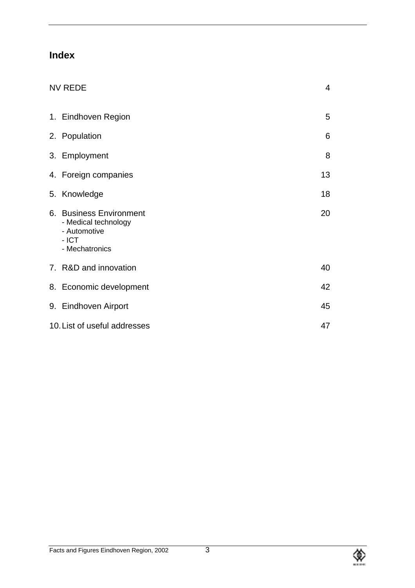# **Index**

| <b>NV REDE</b>                                                                               | $\overline{4}$ |
|----------------------------------------------------------------------------------------------|----------------|
| 1. Eindhoven Region                                                                          | 5              |
| 2. Population                                                                                | 6              |
| 3. Employment                                                                                | 8              |
| 4. Foreign companies                                                                         | 13             |
| 5. Knowledge                                                                                 | 18             |
| 6. Business Environment<br>- Medical technology<br>- Automotive<br>$-$ ICT<br>- Mechatronics | 20             |
| 7. R&D and innovation                                                                        | 40             |
| 8. Economic development                                                                      | 42             |
| 9. Eindhoven Airport                                                                         | 45             |
| 10. List of useful addresses                                                                 | 47             |

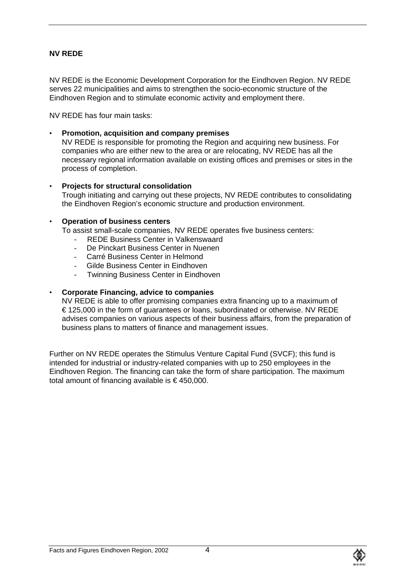# **NV REDE**

NV REDE is the Economic Development Corporation for the Eindhoven Region. NV REDE serves 22 municipalities and aims to strengthen the socio-economic structure of the Eindhoven Region and to stimulate economic activity and employment there.

NV REDE has four main tasks:

• **Promotion, acquisition and company premises** NV REDE is responsible for promoting the Region and acquiring new business. For companies who are either new to the area or are relocating, NV REDE has all the necessary regional information available on existing offices and premises or sites in the process of completion.

#### • **Projects for structural consolidation**

Trough initiating and carrying out these projects, NV REDE contributes to consolidating the Eindhoven Region's economic structure and production environment.

#### • **Operation of business centers**

To assist small-scale companies, NV REDE operates five business centers:

- REDE Business Center in Valkenswaard
- De Pinckart Business Center in Nuenen
- Carré Business Center in Helmond
- Gilde Business Center in Eindhoven
- **Twinning Business Center in Eindhoven**

#### • **Corporate Financing, advice to companies**

NV REDE is able to offer promising companies extra financing up to a maximum of € 125,000 in the form of guarantees or loans, subordinated or otherwise. NV REDE advises companies on various aspects of their business affairs, from the preparation of business plans to matters of finance and management issues.

Further on NV REDE operates the Stimulus Venture Capital Fund (SVCF); this fund is intended for industrial or industry-related companies with up to 250 employees in the Eindhoven Region. The financing can take the form of share participation. The maximum total amount of financing available is  $\epsilon$  450,000.

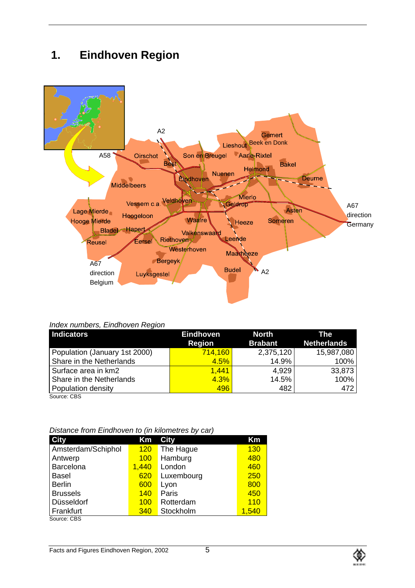# **1. Eindhoven Region**



#### *Index numbers, Eindhoven Region*

| <b>Indicators</b>             | <b>Eindhoven</b> | <b>North</b>   | <b>The</b>         |
|-------------------------------|------------------|----------------|--------------------|
|                               | <b>Region</b>    | <b>Brabant</b> | <b>Netherlands</b> |
| Population (January 1st 2000) | 714,160          | 2,375,120      | 15,987,080         |
| Share in the Netherlands      | 4.5%             | 14.9%          | 100%               |
| Surface area in km2           | 1.441            | 4.929          | 33,873             |
| Share in the Netherlands      | 4.3%             | 14.5%          | 100%               |
| Population density            | 496              | 482            | 472                |
| Source: CBS                   |                  |                |                    |

|  | Distance from Eindhoven to (in kilometres by car) |  |  |  |
|--|---------------------------------------------------|--|--|--|
|  |                                                   |  |  |  |

| <b>City</b>        | Km         | <b>City</b> | Km    |
|--------------------|------------|-------------|-------|
| Amsterdam/Schiphol | 120        | The Hague   | 130   |
| Antwerp            | <b>100</b> | Hamburg     | 480   |
| Barcelona          | 1,440      | London      | 460   |
| <b>Basel</b>       | 620        | Luxembourg  | 250   |
| <b>Berlin</b>      | 600        | Lyon        | 800   |
| <b>Brussels</b>    | <b>140</b> | Paris       | 450   |
| Düsseldorf         | 100        | Rotterdam   | 110   |
| Frankfurt          | 340        | Stockholm   | 1,540 |

Source: CBS

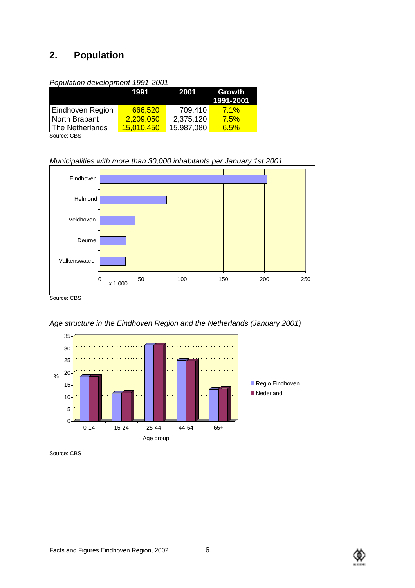# **2. Population**

| Population development 1991-2001 |
|----------------------------------|
|----------------------------------|

|                  | 1991              | 2001       | Growth<br>1991-2001 |
|------------------|-------------------|------------|---------------------|
| Eindhoven Region | 666,520           | 709,410    | 7.1%                |
| North Brabant    | 2,209,050         | 2,375,120  | 7.5%                |
| The Netherlands  | <u>15,010,450</u> | 15,987,080 | 6.5%                |

Source: CBS

*Municipalities with more than 30,000 inhabitants per January 1st 2001*



Source: CBS





Source: CBS



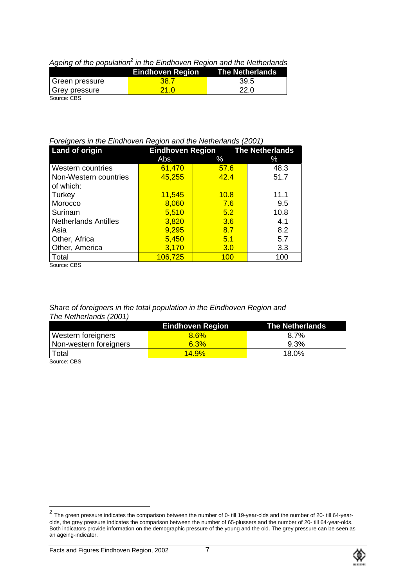| . .            |                         |                        |
|----------------|-------------------------|------------------------|
|                | <b>Eindhoven Region</b> | <b>The Netherlands</b> |
| Green pressure | 38.7                    | -39.5                  |
| Grey pressure  | 21 O                    | 22.0                   |
| Source: CBS    |                         |                        |

# Ageing of the population<sup>2</sup> in the Eindhoven Region and the Netherlands

### *Foreigners in the Eindhoven Region and the Netherlands (2001)*

| Land of origin              | <b>Eindhoven Region</b> |      | <b>The Netherlands</b> |
|-----------------------------|-------------------------|------|------------------------|
|                             | Abs.                    | ℅    | ℅                      |
| Western countries           | 61,470                  | 57.6 | 48.3                   |
| Non-Western countries       | 45,255                  | 42.4 | 51.7                   |
| of which:                   |                         |      |                        |
| Turkey                      | 11,545                  | 10.8 | 11.1                   |
| Morocco                     | 8,060                   | 7.6  | 9.5                    |
| Surinam                     | 5,510                   | 5.2  | 10.8                   |
| <b>Netherlands Antilles</b> | 3,820                   | 3.6  | 4.1                    |
| Asia                        | 9,295                   | 8.7  | 8.2                    |
| Other, Africa               | 5,450                   | 5.1  | 5.7                    |
| Other, America              | 3,170                   | 3.0  | 3.3                    |
| Total                       | 106,725                 | 100  | 100                    |
| $O2$ and $O2$ and $O2$      |                         |      |                        |

Source: CBS

# *Share of foreigners in the total population in the Eindhoven Region and The Netherlands (2001)*

|                           | <b>Eindhoven Region</b> | <b>The Netherlands</b> |
|---------------------------|-------------------------|------------------------|
| <b>Western foreigners</b> | 8.6%                    | 8.7%                   |
| Non-western foreigners    | 6.3%                    | $9.3\%$                |
| Total                     | 14.9%                   | 18.0%                  |
| Source: CBS               |                         |                        |

<sup>&</sup>lt;sup>2</sup> The green pressure indicates the comparison between the number of 0- till 19-year-olds and the number of 20- till 64-yearolds, the grey pressure indicates the comparison between the number of 65-plussers and the number of 20- till 64-year-olds. Both indicators provide information on the demographic pressure of the young and the old. The grey pressure can be seen as an ageing-indicator.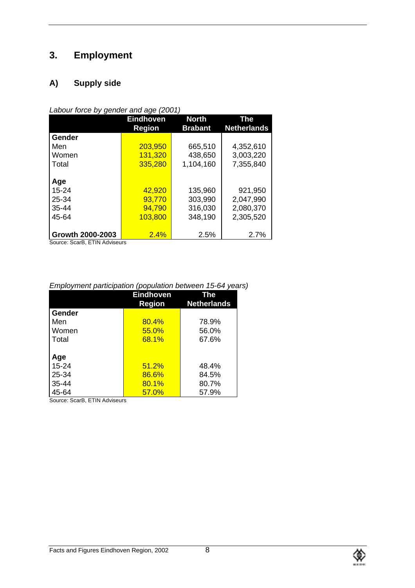# **3. Employment**

# **A) Supply side**

| Labour force by gender and age (2001) |  |
|---------------------------------------|--|

|                  | <b>Eindhoven</b> | <b>North</b>   | The                |
|------------------|------------------|----------------|--------------------|
|                  | <b>Region</b>    | <b>Brabant</b> | <b>Netherlands</b> |
| Gender           |                  |                |                    |
| Men              | 203,950          | 665,510        | 4,352,610          |
| Women            | 131,320          | 438,650        | 3,003,220          |
| Total            | 335,280          | 1,104,160      | 7,355,840          |
|                  |                  |                |                    |
| Age              |                  |                |                    |
| $15 - 24$        | 42,920           | 135,960        | 921,950            |
| 25-34            | 93,770           | 303,990        | 2,047,990          |
| $35 - 44$        | 94,790           | 316,030        | 2,080,370          |
| 45-64            | 103,800          | 348,190        | 2,305,520          |
|                  |                  |                |                    |
| Growth 2000-2003 | 2.4%             | 2.5%           | 2.7%               |

Source: ScarB, ETIN Adviseurs

# *Employment participation (population between 15-64 years)*

|           | <b>Eindhoven</b><br><b>Region</b> | The<br><b>Netherlands</b> |
|-----------|-----------------------------------|---------------------------|
| Gender    |                                   |                           |
| Men       | 80.4%                             | 78.9%                     |
| Women     | 55.0%                             | 56.0%                     |
| Total     | <b>68.1%</b>                      | 67.6%                     |
|           |                                   |                           |
| Age       |                                   |                           |
| $15 - 24$ | 51.2%                             | 48.4%                     |
| 25-34     | 86.6%                             | 84.5%                     |
| $35 - 44$ | 80.1%                             | 80.7%                     |
| 45-64     | 57.0%                             | 57.9%                     |

Source: ScarB, ETIN Adviseurs

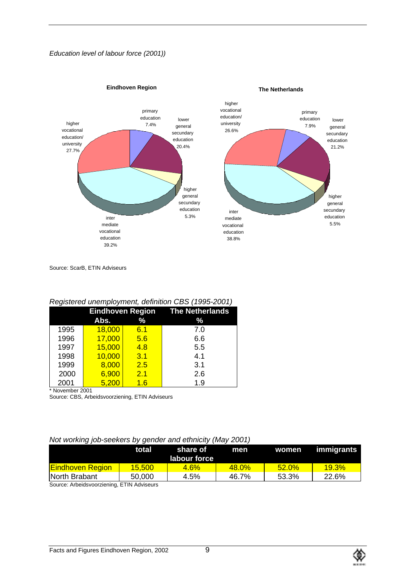#### *Education level of labour force (2001))*



Source: ScarB, ETIN Adviseurs

# *Registered unemployment, definition CBS (1995-2001)*

|      |        |     | <b>Eindhoven Region The Netherlands</b> |
|------|--------|-----|-----------------------------------------|
|      | Abs.   | %   | %                                       |
| 1995 | 18,000 | 6.1 | 7.0                                     |
| 1996 | 17,000 | 5.6 | 6.6                                     |
| 1997 | 15,000 | 4.8 | 5.5                                     |
| 1998 | 10,000 | 3.1 | 4.1                                     |
| 1999 | 8,000  | 2.5 | 3.1                                     |
| 2000 | 6,900  | 2.1 | 2.6                                     |
| 2001 | 5,200  | 1.6 | 1.9                                     |

\* November 2001

Source: CBS, Arbeidsvoorziening, ETIN Adviseurs

#### *Not working job-seekers by gender and ethnicity (May 2001)*

|                                           | total           | share of<br>labour force | men      |       | women immigrants |
|-------------------------------------------|-----------------|--------------------------|----------|-------|------------------|
| <b>Eindhoven Region</b>                   | <u> 15.500 </u> | 4.6%                     | $48.0\%$ | 52.0% | $19.3\%$         |
| North Brabant                             | 50,000          | 4.5%                     | 46.7%    | 53.3% | 22.6%            |
| Source: Arbeidsvoorziening ETIN Adviseurs |                 |                          |          |       |                  |

Source: Arbeidsvoorziening, ETIN Adviseurs

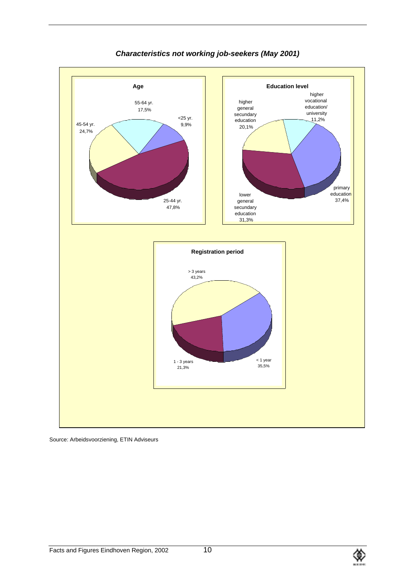

# *Characteristics not working job-seekers (May 2001)*

Source: Arbeidsvoorziening, ETIN Adviseurs

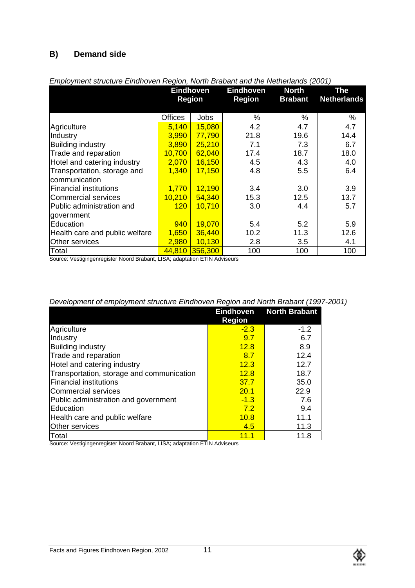# **B) Demand side**

| Linprovincin suucture Linunoven region, riorun Diabant and the rictifichands (2001) |                |                  |                  |                |                    |
|-------------------------------------------------------------------------------------|----------------|------------------|------------------|----------------|--------------------|
|                                                                                     |                | <b>Eindhoven</b> | <b>Eindhoven</b> | <b>North</b>   | The                |
|                                                                                     |                | <b>Region</b>    | <b>Region</b>    | <b>Brabant</b> | <b>Netherlands</b> |
|                                                                                     |                |                  |                  |                |                    |
|                                                                                     | <b>Offices</b> | <b>Jobs</b>      | %                | %              | %                  |
| Agriculture                                                                         | 5,140          | 15,080           | 4.2              | 4.7            | 4.7                |
| Industry                                                                            | 3,990          | 77,790           | 21.8             | 19.6           | 14.4               |
| <b>Building industry</b>                                                            | 3,890          | 25,210           | 7.1              | 7.3            | 6.7                |
| Trade and reparation                                                                | 10,700         | 62,040           | 17.4             | 18.7           | 18.0               |
| Hotel and catering industry                                                         | 2,070          | <b>16,150</b>    | 4.5              | 4.3            | 4.0                |
| Transportation, storage and                                                         | 1,340          | 17,150           | 4.8              | 5.5            | 6.4                |
| communication                                                                       |                |                  |                  |                |                    |
| <b>Financial institutions</b>                                                       | 1,770          | 12,190           | 3.4              | 3.0            | 3.9                |
| <b>Commercial services</b>                                                          | 10,210         | 54,340           | 15.3             | 12.5           | 13.7               |
| Public administration and                                                           | 120            | 10,710           | 3.0              | 4.4            | 5.7                |
| government                                                                          |                |                  |                  |                |                    |
| Education                                                                           | 940            | 19,070           | 5.4              | 5.2            | 5.9                |
| Health care and public welfare                                                      | 1,650          | 36,440           | 10.2             | 11.3           | 12.6               |
| Other services                                                                      | 2,980          | 10,130           | 2.8              | 3.5            | 4.1                |
| Total                                                                               | 44,810         | 356,300          | 100              | 100            | 100                |

### *Employment structure Eindhoven Region, North Brabant and the Netherlands (2001)*

Source: Vestigingenregister Noord Brabant, LISA; adaptation ETIN Adviseurs

|                                           | <b>Region</b> | <b>Eindhoven</b> North Brabant |
|-------------------------------------------|---------------|--------------------------------|
| Agriculture                               | $-2.3$        | $-1.2$                         |
| Industry                                  | 9.7           | 6.7                            |
| <b>Building industry</b>                  | 12.8          | 8.9                            |
| Trade and reparation                      | 8.7           | 12.4                           |
| Hotel and catering industry               | 12.3          | 12.7                           |
| Transportation, storage and communication | 12.8          | 18.7                           |
| <b>Financial institutions</b>             | 37.7          | 35.0                           |
| Commercial services                       | 20.1          | 22.9                           |
| Public administration and government      | $-1.3$        | 7.6                            |
| Education                                 | 7.2           | 9.4                            |
| Health care and public welfare            | 10.8          | 11.1                           |
| <b>Other services</b>                     | 4.5           | 11.3                           |
| Total                                     | 11.1          | 11.8                           |

Source: Vestigingenregister Noord Brabant, LISA; adaptation ETIN Adviseurs

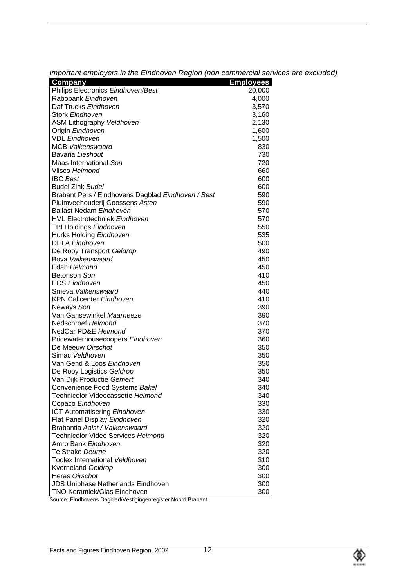| Important employers in the Eindhoven Region (non commercial services are excluded) |  |
|------------------------------------------------------------------------------------|--|
|                                                                                    |  |
|                                                                                    |  |

| Company                                                      | <b>Employees</b> |
|--------------------------------------------------------------|------------------|
| Philips Electronics Eindhoven/Best                           | 20,000           |
| Rabobank Eindhoven                                           | 4,000            |
| Daf Trucks Eindhoven                                         | 3,570            |
| Stork Eindhoven                                              | 3,160            |
| <b>ASM Lithography Veldhoven</b>                             | 2,130            |
| Origin Eindhoven                                             | 1,600            |
| <b>VDL Eindhoven</b>                                         | 1,500            |
| <b>MCB Valkenswaard</b>                                      | 830              |
| Bavaria Lieshout                                             | 730              |
| Maas International Son                                       | 720              |
| Vlisco Helmond                                               | 660              |
| <b>IBC</b> Best                                              | 600              |
| <b>Budel Zink Budel</b>                                      | 600              |
| Brabant Pers / Eindhovens Dagblad Eindhoven / Best           | 590              |
| Pluimveehouderij Goossens Asten                              | 590              |
| <b>Ballast Nedam Eindhoven</b>                               | 570              |
| <b>HVL Electrotechniek Eindhoven</b>                         | 570              |
| TBI Holdings Eindhoven                                       | 550              |
| Hurks Holding Eindhoven                                      | 535              |
| <b>DELA Eindhoven</b>                                        | 500              |
| De Rooy Transport Geldrop                                    | 490              |
| Bova Valkenswaard                                            | 450              |
| Edah Helmond                                                 | 450              |
| Betonson Son                                                 | 410              |
| <b>ECS Eindhoven</b>                                         | 450              |
| Smeva Valkenswaard                                           | 440              |
| <b>KPN Callcenter Eindhoven</b>                              | 410              |
| Neways Son                                                   | 390              |
| Van Gansewinkel Maarheeze                                    | 390              |
| Nedschroef Helmond                                           | 370              |
| NedCar PD&E Helmond                                          | 370              |
| Pricewaterhousecoopers Eindhoven                             | 360              |
| De Meeuw Oirschot                                            | 350              |
| Simac Veldhoven                                              | 350              |
| Van Gend & Loos Eindhoven                                    | 350              |
| De Rooy Logistics Geldrop                                    | 350              |
| Van Dijk Productie Gemert                                    | 340              |
| Convenience Food Systems Bakel                               | 340              |
| Technicolor Videocassette Helmond                            | 340              |
| Copaco Eindhoven                                             | 330              |
| ICT Automatisering Eindhoven                                 | 330              |
| Flat Panel Display Eindhoven                                 | 320              |
| Brabantia Aalst / Valkenswaard                               | 320              |
| Technicolor Video Services Helmond                           | 320              |
| Amro Bank Eindhoven                                          | 320              |
| Te Strake Deurne                                             | 320              |
| Toolex International Veldhoven                               | 310              |
| <b>Kverneland Geldrop</b>                                    | 300              |
| Heras Oirschot                                               | 300              |
| <b>JDS Uniphase Netherlands Eindhoven</b>                    | 300              |
| TNO Keramiek/Glas Eindhoven                                  | 300              |
| Source: Eindhovens Dagblad/Vestigingenregister Noord Brabant |                  |

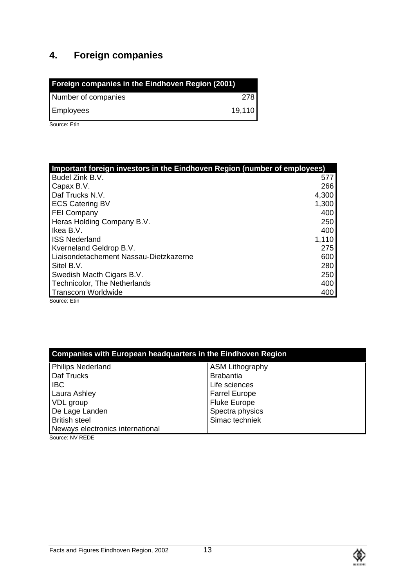# **4. Foreign companies**

| Foreign companies in the Eindhoven Region (2001) |        |
|--------------------------------------------------|--------|
| Number of companies                              | 278    |
| <b>Employees</b>                                 | 19,110 |

Source: Etin

| Important foreign investors in the Eindhoven Region (number of employees) |       |
|---------------------------------------------------------------------------|-------|
| Budel Zink B.V.                                                           | 577   |
| Capax B.V.                                                                | 266   |
| Daf Trucks N.V.                                                           | 4,300 |
| <b>ECS Catering BV</b>                                                    | 1,300 |
| <b>FEI Company</b>                                                        | 400   |
| Heras Holding Company B.V.                                                | 250   |
| Ikea B.V.                                                                 | 400   |
| <b>ISS Nederland</b>                                                      | 1,110 |
| Kverneland Geldrop B.V.                                                   | 275   |
| Liaisondetachement Nassau-Dietzkazerne                                    | 600   |
| Sitel B.V.                                                                | 280   |
| Swedish Macth Cigars B.V.                                                 | 250   |
| <b>Technicolor, The Netherlands</b>                                       | 400   |
| <b>Transcom Worldwide</b>                                                 | 400   |

Source: Etin

| <b>Companies with European headquarters in the Eindhoven Region</b> |                        |  |
|---------------------------------------------------------------------|------------------------|--|
| <b>Philips Nederland</b>                                            | <b>ASM Lithography</b> |  |
| Daf Trucks                                                          | <b>Brabantia</b>       |  |
| <b>IBC</b>                                                          | Life sciences          |  |
| Laura Ashley                                                        | <b>Farrel Europe</b>   |  |
| VDL group                                                           | <b>Fluke Europe</b>    |  |
| De Lage Landen                                                      | Spectra physics        |  |
| <b>British steel</b>                                                | Simac techniek         |  |
| Neways electronics international                                    |                        |  |

Source: NV REDE

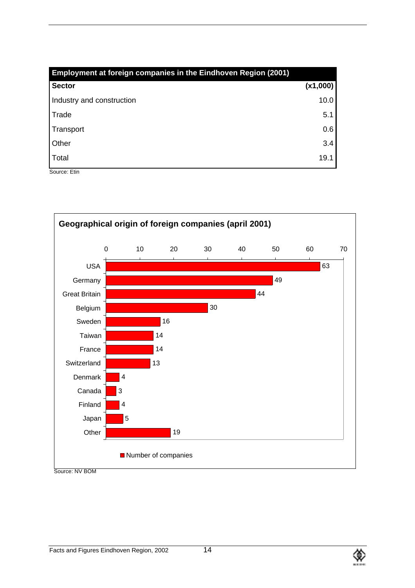| Employment at foreign companies in the Eindhoven Region (2001) |          |
|----------------------------------------------------------------|----------|
| <b>Sector</b>                                                  | (x1,000) |
| Industry and construction                                      | 10.0     |
| Trade                                                          | 5.1      |
| Transport                                                      | 0.6      |
| Other                                                          | 3.4      |
| Total                                                          | 19.1     |

Source: Etin



Source: NV BOM

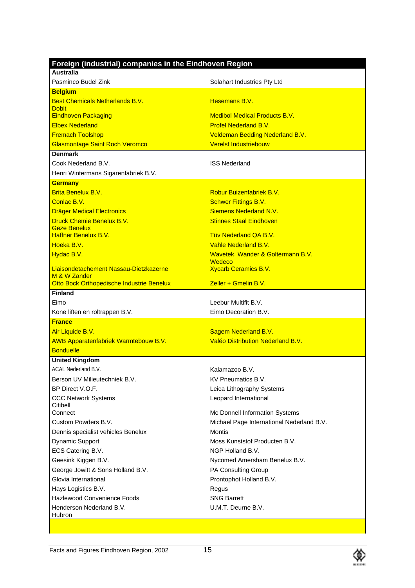| Foreign (industrial) companies in the Eindhoven Region      |                                                    |
|-------------------------------------------------------------|----------------------------------------------------|
| <b>Australia</b>                                            |                                                    |
| Pasminco Budel Zink                                         | Solahart Industries Pty Ltd                        |
| <b>Belgium</b>                                              |                                                    |
| <b>Best Chemicals Netherlands B.V.</b>                      | Hesemans B.V.                                      |
| <b>Dobit</b><br><b>Eindhoven Packaging</b>                  | <b>Medibol Medical Products B.V.</b>               |
| <b>Flbex Nederland</b>                                      | <b>Profel Nederland B.V.</b>                       |
| <b>Fremach Toolshop</b>                                     | <b>Veldeman Bedding Nederland B.V.</b>             |
| <b>Glasmontage Saint Roch Veromco</b>                       | <b>Verelst Industriebouw</b>                       |
| <b>Denmark</b>                                              |                                                    |
| Cook Nederland B.V.                                         | <b>ISS Nederland</b>                               |
| Henri Wintermans Sigarenfabriek B.V.                        |                                                    |
| <b>Germany</b>                                              |                                                    |
| <b>Brita Benelux B.V.</b>                                   | Robur Buizenfabriek B.V.                           |
| Conlac B.V.                                                 | <b>Schwer Fittings B.V.</b>                        |
| <b>Dräger Medical Electronics</b>                           | Siemens Nederland N.V.                             |
| Druck Chemie Benelux B.V.                                   | <b>Stinnes Staal Eindhoven</b>                     |
| <b>Geze Benelux</b>                                         |                                                    |
| <b>Haffner Benelux B.V.</b>                                 | <b>Tüv Nederland QA B.V.</b>                       |
| Hoeka B.V.                                                  | Vahle Nederland B.V.                               |
| Hydac B.V.                                                  | Wavetek, Wander & Goltermann B.V.<br><b>Wedeco</b> |
| Liaisondetachement Nassau-Dietzkazerne                      | <b>Xycarb Ceramics B.V.</b>                        |
| M & W Zander                                                |                                                    |
| Otto Bock Orthopedische Industrie Benelux<br><b>Finland</b> | $Z$ eller + Gmelin B.V.                            |
| Eimo                                                        | Leebur Multifit B.V.                               |
|                                                             | Eimo Decoration B.V.                               |
| Kone liften en roltrappen B.V.<br><b>France</b>             |                                                    |
| Air Liquide B.V.                                            | Sagem Nederland B.V.                               |
| AWB Apparatenfabriek Warmtebouw B.V.                        | Valéo Distribution Nederland B.V.                  |
| <b>Bonduelle</b>                                            |                                                    |
| <b>United Kingdom</b>                                       |                                                    |
| ACAL Nederland B.V.                                         | Kalamazoo B.V.                                     |
| Berson UV Milieutechniek B.V.                               | KV Pneumatics B.V.                                 |
| BP Direct V.O.F.                                            | Leica Lithography Systems                          |
| <b>CCC Network Systems</b>                                  | Leopard International                              |
| Citibell                                                    |                                                    |
| Connect                                                     | Mc Donnell Information Systems                     |
| Custom Powders B.V.                                         | Michael Page International Nederland B.V.          |
| Dennis specialist vehicles Benelux                          | <b>Montis</b>                                      |
| Dynamic Support                                             | Moss Kunststof Producten B.V.                      |
| ECS Catering B.V.                                           | NGP Holland B.V.                                   |
| Geesink Kiggen B.V.                                         | Nycomed Amersham Benelux B.V.                      |
| George Jowitt & Sons Holland B.V.                           | PA Consulting Group                                |
| Glovia International                                        | Prontophot Holland B.V.                            |
| Hays Logistics B.V.<br><b>Hazlewood Convenience Foods</b>   | Regus<br><b>SNG Barrett</b>                        |
| Henderson Nederland B.V.                                    | U.M.T. Deurne B.V.                                 |
| Hubron                                                      |                                                    |
|                                                             |                                                    |

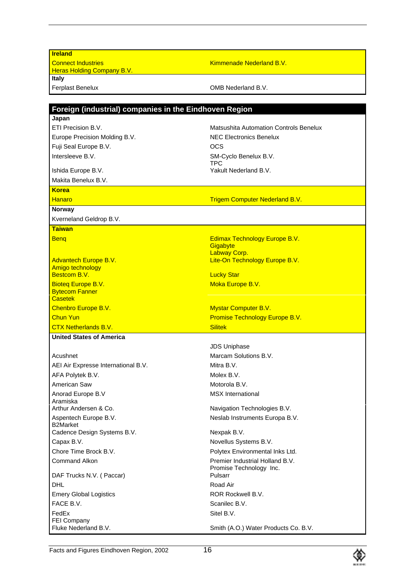| <b>Ireland</b>                                         |                                                |
|--------------------------------------------------------|------------------------------------------------|
| <b>Connect Industries</b>                              | Kimmenade Nederland B.V.                       |
| <b>Heras Holding Company B.V.</b>                      |                                                |
| Italy                                                  |                                                |
| Ferplast Benelux                                       | OMB Nederland B.V.                             |
|                                                        |                                                |
| Foreign (industrial) companies in the Eindhoven Region |                                                |
| Japan                                                  |                                                |
| ETI Precision B.V.                                     | <b>Matsushita Automation Controls Benelux</b>  |
| Europe Precision Molding B.V.                          | <b>NEC Electronics Benelux</b>                 |
| Fuji Seal Europe B.V.                                  | OCS                                            |
| Intersleeve B.V.                                       | SM-Cyclo Benelux B.V.<br>TPC                   |
| Ishida Europe B.V.                                     | Yakult Nederland B.V.                          |
| Makita Benelux B.V.                                    |                                                |
| <b>Korea</b>                                           |                                                |
| Hanaro                                                 | <b>Trigem Computer Nederland B.V.</b>          |
| Norway                                                 |                                                |
| Kverneland Geldrop B.V.                                |                                                |
| <b>Taiwan</b>                                          |                                                |
| <b>Beng</b>                                            | Edimax Technology Europe B.V.                  |
|                                                        | Gigabyte                                       |
| <b>Advantech Europe B.V.</b>                           | Labway Corp.<br>Lite-On Technology Europe B.V. |
| Amigo technology                                       |                                                |
| Bestcom B.V.                                           | <b>Lucky Star</b>                              |
| <b>Bioteg Europe B.V.</b>                              | Moka Europe B.V.                               |
| <b>Bytecom Fanner</b><br><b>Casetek</b>                |                                                |
| Chenbro Europe B.V.                                    | <b>Mystar Computer B.V.</b>                    |
| <b>Chun Yun</b>                                        | Promise Technology Europe B.V.                 |
| <b>CTX Netherlands B.V.</b>                            | <b>Silitek</b>                                 |
| <b>United States of America</b>                        |                                                |
|                                                        | <b>JDS Uniphase</b>                            |
| Acushnet                                               | Marcam Solutions B.V.                          |
| AEI Air Expresse International B.V.                    | Mitra B.V.                                     |
| AFA Polytek B.V.                                       | Molex B.V.                                     |
| American Saw                                           | Motorola B.V.                                  |
| Anorad Europe B.V                                      | <b>MSX</b> International                       |
| Aramiska                                               |                                                |
| Arthur Andersen & Co.                                  | Navigation Technologies B.V.                   |
| Aspentech Europe B.V.<br><b>B2Market</b>               | Neslab Instruments Europa B.V.                 |
| Cadence Design Systems B.V.                            | Nexpak B.V.                                    |
| Capax B.V.                                             | Novellus Systems B.V.                          |
| Chore Time Brock B.V.                                  | Polytex Environmental Inks Ltd.                |
| <b>Command Alkon</b>                                   | Premier Industrial Holland B.V.                |
|                                                        | Promise Technology Inc.                        |
| DAF Trucks N.V. (Paccar)                               | Pulsarr                                        |
| <b>DHL</b>                                             | Road Air                                       |
| <b>Emery Global Logistics</b>                          | ROR Rockwell B.V.                              |
| FACE B.V.                                              | Scanilec B.V.                                  |
| FedEx<br><b>FEI Company</b>                            | Sitel B.V.                                     |
| Fluke Nederland B.V.                                   | Smith (A.O.) Water Products Co. B.V.           |

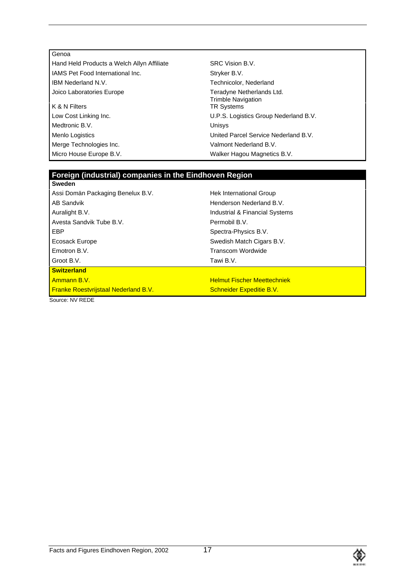Joico Laboratories Europe Teradyne Netherlands Ltd.  $K$  & N Filters Low Cost Linking Inc. U.P.S. Logistics Group Nederland B.V. Medtronic B.V. **Unisys** Menlo Logistics United Parcel Service Nederland B.V. Merge Technologies Inc. The Contract of Malmont Nederland B.V.

Hand Held Products a Welch Allyn Affiliate SRC Vision B.V. IAMS Pet Food International Inc. Stryker B.V. IBM Nederland N.V. Technicolor, Nederland Trimble Navigation<br>TR Systems Micro House Europe B.V. The Magnetics B.V. Walker Hagou Magnetics B.V.

#### **Foreign (industrial) companies in the Eindhoven Region Sweden**

| oweden                                      |                                    |
|---------------------------------------------|------------------------------------|
| Assi Domän Packaging Benelux B.V.           | Hek International Group            |
| AB Sandvik                                  | Henderson Nederland B.V.           |
| Auralight B.V.                              | Industrial & Financial Systems     |
| Avesta Sandvik Tube B.V.                    | Permobil B.V.                      |
| EBP                                         | Spectra-Physics B.V.               |
| Ecosack Europe                              | Swedish Match Cigars B.V.          |
| Emotron B.V.                                | Transcom Wordwide                  |
| Groot B.V.                                  | Tawi B.V.                          |
| <b>Switzerland</b>                          |                                    |
| <u>l Ammann B.V.</u>                        | <b>Helmut Fischer Meettechniek</b> |
| <b>Franke Roestvrijstaal Nederland B.V.</b> | <b>Schneider Expeditie B.V.</b>    |
| Cource: NIV DEDE                            |                                    |

Source: NV REDE

Genoa

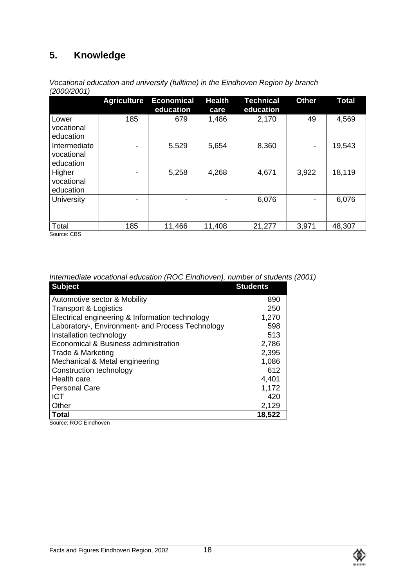# **5. Knowledge**

|                                         | <b>Agriculture</b> | <b>Economical</b><br>education | <b>Health</b><br>care | <b>Technical</b><br>education | <b>Other</b> | <b>Total</b> |
|-----------------------------------------|--------------------|--------------------------------|-----------------------|-------------------------------|--------------|--------------|
| Lower<br>vocational<br>education        | 185                | 679                            | 1,486                 | 2,170                         | 49           | 4,569        |
| Intermediate<br>vocational<br>education |                    | 5,529                          | 5,654                 | 8,360                         |              | 19,543       |
| Higher<br>vocational<br>education       |                    | 5,258                          | 4,268                 | 4,671                         | 3,922        | 18,119       |
| University                              |                    | $\blacksquare$                 |                       | 6,076                         |              | 6,076        |
| Total<br>$C_{\text{a}11222}$ $CDC$      | 185                | 11,466                         | 11,408                | 21,277                        | 3,971        | 48,307       |

*Vocational education and university (fulltime) in the Eindhoven Region by branch (2000/2001)*

Source: CBS

| <b>Subject</b>                                   | <b>Students</b> |
|--------------------------------------------------|-----------------|
| Automotive sector & Mobility                     | 890             |
| <b>Transport &amp; Logistics</b>                 | 250             |
| Electrical engineering & Information technology  | 1,270           |
| Laboratory-, Environment- and Process Technology | 598             |
| Installation technology                          | 513             |
| Economical & Business administration             | 2,786           |
| Trade & Marketing                                | 2,395           |
| Mechanical & Metal engineering                   | 1,086           |
| Construction technology                          | 612             |
| Health care                                      | 4,401           |
| <b>Personal Care</b>                             | 1,172           |
| <b>ICT</b>                                       | 420             |
| Other                                            | 2,129           |
| <b>Total</b>                                     | 18,522          |

*Intermediate vocational education (ROC Eindhoven), number of students (2001)*

Source: ROC Eindhoven

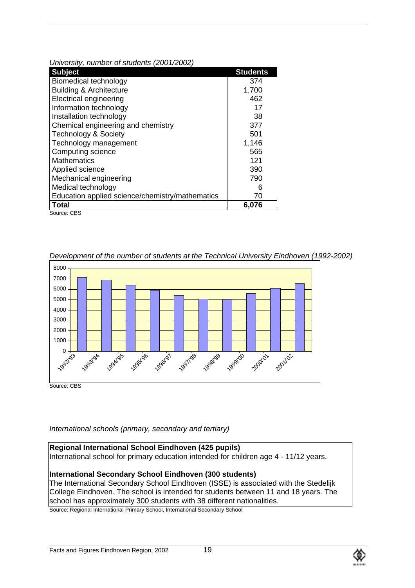| University, number of statemes (2007/2002)      |                 |
|-------------------------------------------------|-----------------|
| <b>Subject</b>                                  | <b>Students</b> |
| <b>Biomedical technology</b>                    | 374             |
| <b>Building &amp; Architecture</b>              | 1,700           |
| <b>Electrical engineering</b>                   | 462             |
| Information technology                          | 17              |
| Installation technology                         | 38              |
| Chemical engineering and chemistry              | 377             |
| <b>Technology &amp; Society</b>                 | 501             |
| Technology management                           | 1,146           |
| Computing science                               | 565             |
| <b>Mathematics</b>                              | 121             |
| Applied science                                 | 390             |
| Mechanical engineering                          | 790             |
| Medical technology                              | 6               |
| Education applied science/chemistry/mathematics | 70              |
| <b>Total</b>                                    | 6,076           |
| Source: CBS                                     |                 |

*University, number of students (2001/2002)*

*Development of the number of students at the Technical University Eindhoven (1992-2002)*



*International schools (primary, secondary and tertiary)*

**Regional International School Eindhoven (425 pupils)** International school for primary education intended for children age 4 - 11/12 years.

# **International Secondary School Eindhoven (300 students)**

The International Secondary School Eindhoven (ISSE) is associated with the Stedelijk College Eindhoven. The school is intended for students between 11 and 18 years. The school has approximately 300 students with 38 different nationalities.

Source: Regional International Primary School, International Secondary School

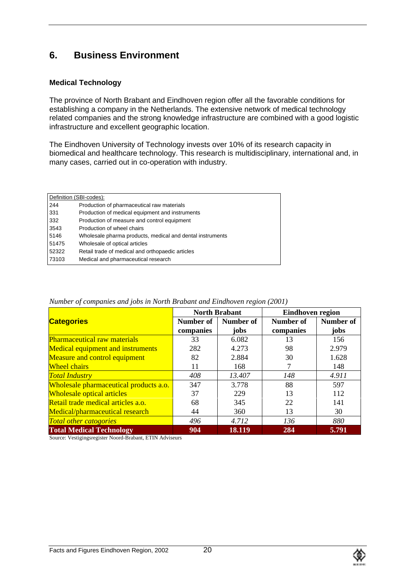# **6. Business Environment**

# **Medical Technology**

The province of North Brabant and Eindhoven region offer all the favorable conditions for establishing a company in the Netherlands. The extensive network of medical technology related companies and the strong knowledge infrastructure are combined with a good logistic infrastructure and excellent geographic location.

The Eindhoven University of Technology invests over 10% of its research capacity in biomedical and healthcare technology. This research is multidisciplinary, international and, in many cases, carried out in co-operation with industry.

|       | Definition (SBI-codes):                                   |
|-------|-----------------------------------------------------------|
| 244   | Production of pharmaceutical raw materials                |
| 331   | Production of medical equipment and instruments           |
| 332   | Production of measure and control equipment               |
| 3543  | Production of wheel chairs                                |
| 5146  | Wholesale pharma products, medical and dental instruments |
| 51475 | Wholesale of optical articles                             |
| 52322 | Retail trade of medical and orthopaedic articles          |
| 73103 | Medical and pharmaceutical research                       |
|       |                                                           |

|                                          |           | <b>North Brabant</b> | Eindhoven region |           |
|------------------------------------------|-----------|----------------------|------------------|-----------|
| <b>Categories</b>                        | Number of | Number of            | Number of        | Number of |
|                                          | companies | jobs                 | companies        | jobs      |
| <b>Pharmaceutical raw materials</b>      | 33        | 6.082                | 13               | 156       |
| <b>Medical equipment and instruments</b> | 282       | 4.273                | 98               | 2.979     |
| <b>Measure and control equipment</b>     | 82        | 2.884                | 30               | 1.628     |
| <b>Wheel chairs</b>                      | 11        | 168                  |                  | 148       |
| <b>Total Industry</b>                    | 408       | 13.407               | 148              | 4.911     |
| Wholesale pharmaceutical products a.o.   | 347       | 3.778                | 88               | 597       |
| <b>Wholesale optical articles</b>        | 37        | 229                  | 13               | 112       |
| Retail trade medical articles a.o.       | 68        | 345                  | 22               | 141       |
| Medical/pharmaceutical research          | 44        | 360                  | 13               | 30        |
| <b>Total other catogories</b>            | 496       | 4.712                | 136              | 880       |
| <b>Total Medical Technology</b>          | 904       | 18.119               | 284              | 5.791     |

*Number of companies and jobs in North Brabant and Eindhoven region (2001)*

Source: Vestigingsregister Noord-Brabant, ETIN Adviseurs

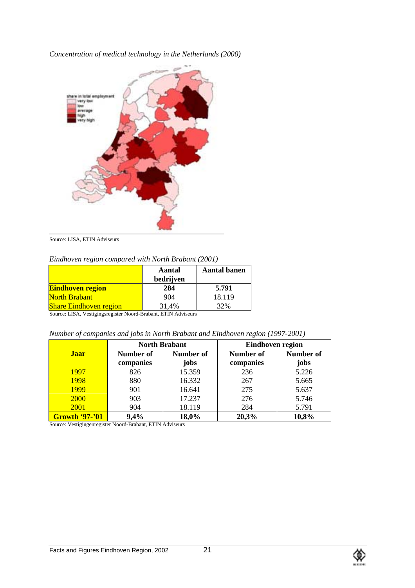*Concentration of medical technology in the Netherlands (2000)*



Source: LISA, ETIN Adviseurs

*Eindhoven region compared with North Brabant (2001)*

|                               | Aantal<br>bedrijven | <b>Aantal banen</b> |
|-------------------------------|---------------------|---------------------|
| <b>Eindhoven region</b>       | 284                 | 5.791               |
| <b>North Brabant</b>          | 904                 | 18.119              |
| <b>Share Eindhoven region</b> | 31,4%               | 32%                 |

Source: LISA, Vestigingsregister Noord-Brabant, ETIN Adviseurs

*Number of companies and jobs in North Brabant and Eindhoven region (1997-2001)*

|                          | <b>North Brabant</b> |           | Eindhoven region |           |
|--------------------------|----------------------|-----------|------------------|-----------|
| <b>Jaar</b><br>Number of |                      | Number of | Number of        | Number of |
|                          | companies            | jobs      | companies        | jobs      |
| 1997                     | 826                  | 15.359    | 236              | 5.226     |
| 1998                     | 880                  | 16.332    | 267              | 5.665     |
| <b>1999</b>              | 901                  | 16.641    | 275              | 5.637     |
| 2000                     | 903                  | 17.237    | 276              | 5.746     |
| <b>2001</b>              | 904                  | 18.119    | 284              | 5.791     |
| <b>Growth '97-'01</b>    | 9,4%                 | 18,0%     | 20,3%            | 10,8%     |

Source: Vestigingenregister Noord-Brabant, ETIN Adviseurs

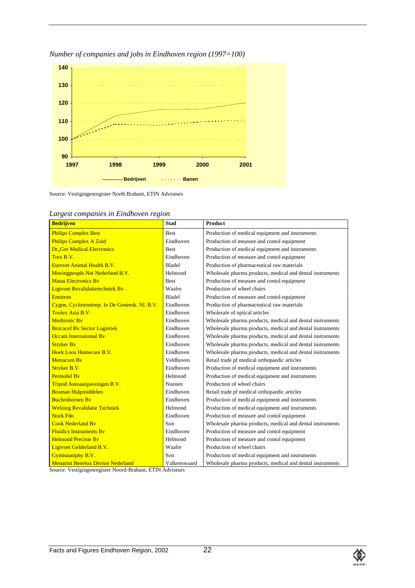

*Number of companies and jobs in Eindhoven region (1997=100)*

Source: Vestigingenregister North Brabant, ETIN Adviseurs

| <b>Bedrijven</b>                              | <b>Stad</b>   | <b>Product</b>                                            |
|-----------------------------------------------|---------------|-----------------------------------------------------------|
| <b>Philips Complex Best</b>                   | <b>Best</b>   | Production of medical equipment and instruments           |
| <b>Philips Complex A Zuid</b>                 | Eindhoven     | Production of measure and contol equipment                |
| <b>Dr., Ger Medical Electronics</b>           | <b>Best</b>   | Production of medical equipment and instruments           |
| Trex B.V.                                     | Eindhoven     | Production of measure and contol equipment                |
| <b>Eurovet Animal Health B.V.</b>             | <b>Bladel</b> | Production of pharmaceutical raw materials                |
| Movingpeople. Net Nederland B.V.              | Helmond       | Wholesale pharma products, medical and dental instruments |
| <b>Matas Electronics By</b>                   | <b>Best</b>   | Production of measure and contol equipment                |
| Ligtvoet Revalidatietechniek Bv               | Waalre        | Production of wheel chairs                                |
| Emotron                                       | Bladel        | Production of measure and contol equipment                |
| Cygne, Cyclotrontoep. In De Geneesk. Nl. B.V. | Eindhoven     | Production of pharmaceutical raw materials                |
| Toolex Asia B.V.                              | Eindhoven     | Wholesale of optical articles                             |
| <b>Medtronic By</b>                           | Eindhoven     | Wholesale pharma products, medical and dental instruments |
| <b>Brocacef By Sector Logistiek</b>           | Eindhoven     | Wholesale pharma products, medical and dental instruments |
| <b>Occam International By</b>                 | Eindhoven     | Wholesale pharma products, medical and dental instruments |
| <b>Stryker By</b>                             | Eindhoven     | Wholesale pharma products, medical and dental instruments |
| Hoek Loos Homecare B.V.                       | Eindhoven     | Wholesale pharma products, medical and dental instruments |
| <b>Metracom By</b>                            | Veldhoven     | Retail trade pf medical orthopaedic articles              |
| Stryker B.V.                                  | Eindhoven     | Production of medical equipment and instruments           |
| <b>Permobil By</b>                            | Helmond       | Production of medical equipment and instruments           |
| Tripod Autoaanpassingen B.V.                  | Nuenen        | Production of wheel chairs                                |
| <b>Bosman Hulpmiddelen</b>                    | Eindhoven     | Retail trade pf medical orthopaedic articles              |
| <b>Buchrnhornen By</b>                        | Eindhoven     | Production of medical equipment and instruments           |
| <b>Welzorg Revalidatie Techniek</b>           | Helmond       | Production of medical equipment and instruments           |
| <b>Stork Fdo</b>                              | Eindhoven     | Production of measure and contol equipment                |
| <b>Cook Nederland By</b>                      | Son           | Wholesale pharma products, medical and dental instruments |
| <b>Fluidics Instruments By</b>                | Eindhoven     | Production of measure and contol equipment                |
| <b>Helmond Precisie By</b>                    | Helmond       | Production of measure and contol equipment                |
| Ligtvoet Gelderland B.V.                      | Waalre        | Production of wheel chairs                                |
| Gymnauniphy B.V.                              | Son           | Production of medical equipment and instruments           |
| <b>Menarini Benelux Divisie Nederland</b>     | Valkenswaard  | Wholesale pharma products, medical and dental instruments |

*Largest companies in Eindhoven region*

Source: Vestigingenregister Noord-Brabant, ETIN Adviseurs

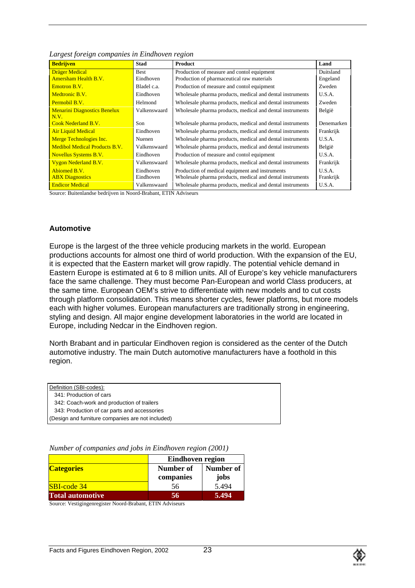| <b>Bedrijven</b>                     | Stad         | Product                                                   | Land       |
|--------------------------------------|--------------|-----------------------------------------------------------|------------|
| Dräger Medical                       | Best         | Production of measure and contol equipment                | Duitsland  |
| <b>Amersham Health B.V.</b>          | Eindhoven    | Production of pharmaceutical raw materials                | Engeland   |
| Emotron B.V.                         | Bladel c.a.  | Production of measure and contol equipment                | Zweden     |
| Medtronic B.V.                       | Eindhoven    | Wholesale pharma products, medical and dental instruments | U.S.A.     |
| Permobil B.V.                        | Helmond      | Wholesale pharma products, medical and dental instruments | Zweden     |
| <b>Menarini Diagnostics Benelux</b>  | Valkenswaard | Wholesale pharma products, medical and dental instruments | België     |
| N.V.                                 |              |                                                           |            |
| <b>Cook Nederland B.V.</b>           | Son          | Wholesale pharma products, medical and dental instruments | Denemarken |
| <b>Air Liquid Medical</b>            | Eindhoven    | Wholesale pharma products, medical and dental instruments | Frankrijk  |
| Merge Technologies Inc.              | Nuenen       | Wholesale pharma products, medical and dental instruments | U.S.A.     |
| <b>Medibol Medical Products B.V.</b> | Valkenswaard | Wholesale pharma products, medical and dental instruments | België     |
| <b>Novellus Systems B.V.</b>         | Eindhoven    | Production of measure and contol equipment                | U.S.A.     |
| <b>Vygon Nederland B.V.</b>          | Valkenswaard | Wholesale pharma products, medical and dental instruments | Frankrijk  |
| Abiomed B.V.                         | Eindhoven    | Production of medical equipment and instruments           | U.S.A.     |
| <b>ABX</b> Diagnostics               | Eindhoven    | Wholesale pharma products, medical and dental instruments | Frankrijk  |
| <b>Endicor Medical</b>               | Valkenswaard | Wholesale pharma products, medical and dental instruments | U.S.A.     |

*Largest foreign companies in Eindhoven region*

Source: Buitenlandse bedrijven in Noord-Brabant, ETIN Adviseurs

### **Automotive**

Europe is the largest of the three vehicle producing markets in the world. European productions accounts for almost one third of world production. With the expansion of the EU, it is expected that the Eastern market will grow rapidly. The potential vehicle demand in Eastern Europe is estimated at 6 to 8 million units. All of Europe's key vehicle manufacturers face the same challenge. They must become Pan-European and world Class producers, at the same time. European OEM's strive to differentiate with new models and to cut costs through platform consolidation. This means shorter cycles, fewer platforms, but more models each with higher volumes. European manufacturers are traditionally strong in engineering, styling and design. All major engine development laboratories in the world are located in Europe, including Nedcar in the Eindhoven region.

North Brabant and in particular Eindhoven region is considered as the center of the Dutch automotive industry. The main Dutch automotive manufacturers have a foothold in this region.

| Definition (SBI-codes):                           |  |
|---------------------------------------------------|--|
| 341: Production of cars                           |  |
| 342: Coach-work and production of trailers        |  |
| 343: Production of car parts and accessories      |  |
| (Design and furniture companies are not included) |  |

*Number of companies and jobs in Eindhoven region (2001)*

|                         | Eindhoven region       |                   |
|-------------------------|------------------------|-------------------|
| <b>Categories</b>       | Number of<br>companies | Number of<br>jobs |
| <b>SBI-code 34</b>      | 56                     | 5.494             |
| <b>Total automotive</b> | 56                     | 5.494             |

Source: Vestigingenregister Noord-Brabant, ETIN Adviseurs

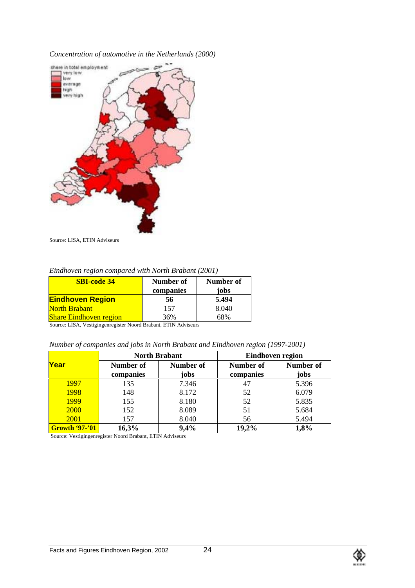*Concentration of automotive in the Netherlands (2000)*



Source: LISA, ETIN Adviseurs

*Eindhoven region compared with North Brabant (2001)*

| <b>SBI-code 34</b>            | Number of<br>companies | Number of<br>jobs |
|-------------------------------|------------------------|-------------------|
| <b>Eindhoven Region</b>       | 56                     | 5.494             |
| <b>North Brabant</b>          | 157                    | 8.040             |
| <b>Share Eindhoven region</b> | 36%                    | 58%               |

Source: LISA, Vestigingenregister Noord Brabant, ETIN Adviseurs

*Number of companies and jobs in North Brabant and Eindhoven region (1997-2001)*

|                       |           | <b>North Brabant</b> | Eindhoven region |           |
|-----------------------|-----------|----------------------|------------------|-----------|
| Year                  | Number of | Number of            | Number of        | Number of |
|                       | companies | jobs                 | companies        | jobs      |
| 1997                  | 135       | 7.346                | 47               | 5.396     |
| 1998                  | 148       | 8.172                | 52               | 6.079     |
| 1999                  | 155       | 8.180                | 52               | 5.835     |
| 2000                  | 152       | 8.089                | 51               | 5.684     |
| 2001                  | 157       | 8.040                | 56               | 5.494     |
| <b>Growth '97-'01</b> | 16,3%     | 9,4%                 | 19,2%            | 1,8%      |

Source: Vestigingenregister Noord Brabant, ETIN Adviseurs

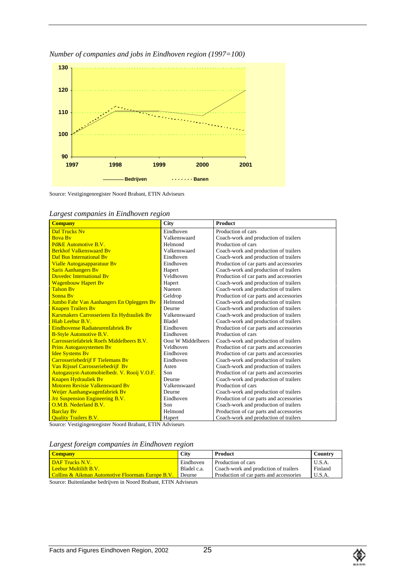

*Number of companies and jobs in Eindhoven region (1997=100)*

Source: Vestigingenregister Noord Brabant, ETIN Adviseurs

| <b>Company</b>                              | <b>City</b>        | <b>Product</b>                          |
|---------------------------------------------|--------------------|-----------------------------------------|
| <b>Daf Trucks Nv</b>                        | Eindhoven          | Production of cars                      |
| <b>Boya By</b>                              | Valkenswaard       | Coach-work and production of trailers   |
| Pd&E Automotive B.V.                        | Helmond            | Production of cars                      |
| <b>Berkhof Valkenswaard By</b>              | Valkenswaard       | Coach-work and production of trailers   |
| Daf Bus International By                    | Eindhoven          | Coach-work and production of trailers   |
| Vialle Autogasapparatuur Bv                 | Eindhoven          | Production of car parts and accessories |
| <b>Saris Aanhangers By</b>                  | Hapert             | Coach-work and production of trailers   |
| <b>Duvedec International By</b>             | Veldhoven          | Production of car parts and accessories |
| <b>Wagenbouw Hapert By</b>                  | Hapert             | Coach-work and production of trailers   |
| <b>Talson By</b>                            | Nuenen             | Coach-work and production of trailers   |
| Sonna By                                    | Geldrop            | Production of car parts and accessories |
| Jumbo Fabr Van Aanhangers En Opleggers By   | Helmond            | Coach-work and production of trailers   |
| <b>Knapen Trailers By</b>                   | Deurne             | Coach-work and production of trailers   |
| Karsmakers Carrosserieen En Hydrauliek Bv   | Valkenswaard       | Coach-work and production of trailers   |
| Hiab Leebur B.V.                            | <b>Bladel</b>      | Coach-work and production of trailers   |
| <b>Eindhovense Radiateurenfabriek By</b>    | Eindhoven          | Production of car parts and accessories |
| <b>B-Style Automotive B.V.</b>              | Eindhoven          | Production of cars                      |
| Carrosseriefabriek Roefs Middelbeers B V    | Oost W Middelbeers | Coach-work and production of trailers   |
| <b>Prins Autogassystemen By</b>             | Veldhoven          | Production of car parts and accessories |
| <b>Idee Systems By</b>                      | Eindhoven          | Production of car parts and accessories |
| Carrosseriebedrijf F Tielemans By           | Eindhoven          | Coach-work and production of trailers   |
| Van Rijssel Carrosseriebedrijf Bv           | Asten              | Coach-work and production of trailers   |
| Autogassyst-Automobielbedr. V. Rooij V.O.F. | Son                | Production of car parts and accessories |
| <b>Knapen Hydrauliek By</b>                 | Deurne             | Coach-work and production of trailers   |
| <b>Motoren Revisie Valkenswaard By</b>      | Valkenswaard       | Production of cars                      |
| Weijer Aanhangwagenfabriek Bv               | Deurne             | Coach-work and production of trailers   |
| <b>Jrz Suspension Engineering B.V.</b>      | Eindhoven          | Production of car parts and accessories |
| O.M.B. Nederland B.V.                       | Son                | Coach-work and production of trailers   |
| <b>Barclay By</b>                           | Helmond            | Production of car parts and accessories |
| <b>Quality Trailers B.V.</b>                | Hapert             | Coach-work and production of trailers   |

| Largest companies in Eindhoven region |  |  |  |  |  |  |
|---------------------------------------|--|--|--|--|--|--|
|---------------------------------------|--|--|--|--|--|--|

Source: Vestigingenregister Noord Brabant, ETIN Adviseurs

*Largest foreign companies in Eindhoven region*

| <b>Company</b>                                                        | <b>City</b> | Product                                 | Country |
|-----------------------------------------------------------------------|-------------|-----------------------------------------|---------|
| <b>DAF</b> Trucks N.V.                                                | Eindhoven   | Production of cars                      | U.S.A.  |
| <u>l Leebur Multilift B V I</u>                                       | Bladel c.a. | Coach-work and prodiction of trailers   | Finland |
| Collins & Aikman Automotive Floormats Europe B.V.                     | Deurne      | Production of car parts and accessories | U.S.A.  |
| Connect District of the Little of the March Duck on a PTIM Additional |             |                                         |         |

Source: Buitenlandse bedrijven in Noord Brabant, ETIN Adviseurs

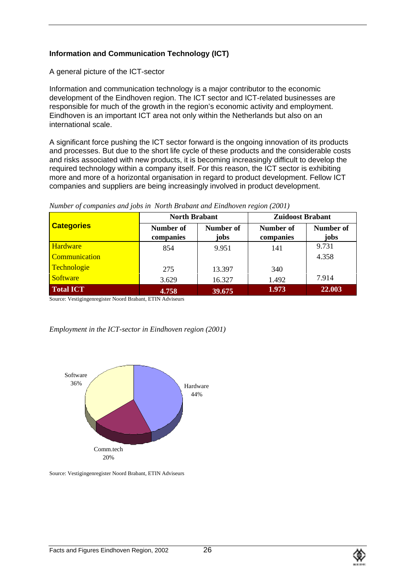# **Information and Communication Technology (ICT)**

A general picture of the ICT-sector

Information and communication technology is a major contributor to the economic development of the Eindhoven region. The ICT sector and ICT-related businesses are responsible for much of the growth in the region's economic activity and employment. Eindhoven is an important ICT area not only within the Netherlands but also on an international scale.

A significant force pushing the ICT sector forward is the ongoing innovation of its products and processes. But due to the short life cycle of these products and the considerable costs and risks associated with new products, it is becoming increasingly difficult to develop the required technology within a company itself. For this reason, the ICT sector is exhibiting more and more of a horizontal organisation in regard to product development. Fellow ICT companies and suppliers are being increasingly involved in product development.

|                   | <b>North Brabant</b>   |                   | <b>Zuidoost Brabant</b>       |                   |
|-------------------|------------------------|-------------------|-------------------------------|-------------------|
| <b>Categories</b> | Number of<br>companies | Number of<br>jobs | <b>Number of</b><br>companies | Number of<br>jobs |
| <b>Hardware</b>   | 854                    | 9.951             | 141                           | 9.731             |
| Communication     |                        |                   |                               | 4.358             |
| Technologie       | 275                    | 13.397            | 340                           |                   |
| <b>Software</b>   | 3.629                  | 16.327            | 1.492                         | 7.914             |
| <b>Total ICT</b>  | 4.758                  | 39.675            | 1.973                         | 22.003            |

#### *Number of companies and jobs in North Brabant and Eindhoven region (2001)*

Source: Vestigingenregister Noord Brabant, ETIN Adviseurs

#### *Employment in the ICT-sector in Eindhoven region (2001)*



Source: Vestigingenregister Noord Brabant, ETIN Adviseurs

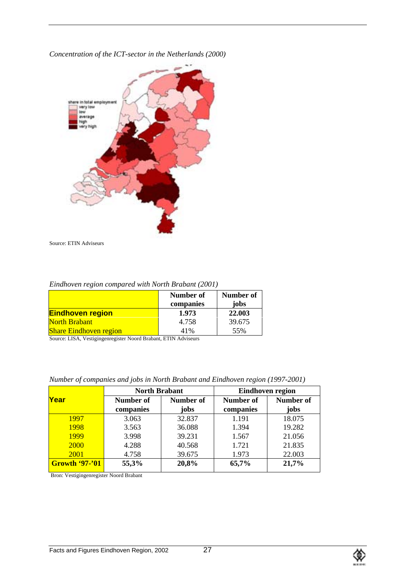*Concentration of the ICT-sector in the Netherlands (2000)*



Source: ETIN Adviseurs

*Eindhoven region compared with North Brabant (2001)*

|                               | Number of<br>companies | Number of<br>jobs |
|-------------------------------|------------------------|-------------------|
| <b>Eindhoven region</b>       | 1.973                  | 22.003            |
| North Brabant                 | 4.758                  | 39.675            |
| <b>Share Eindhoven region</b> | 41%                    | 55%               |

Source: LISA, Vestigingenregister Noord Brabant, ETIN Adviseurs

*Number of companies and jobs in North Brabant and Eindhoven region (1997-2001)*

|           |                             |                                                  | <b>Eindhoven region</b> |
|-----------|-----------------------------|--------------------------------------------------|-------------------------|
| Number of | Number of                   | Number of                                        | Number of<br>jobs       |
|           |                             |                                                  | 18.075                  |
|           |                             | 1.394                                            | 19.282                  |
| 3.998     | 39.231                      | 1.567                                            | 21.056                  |
| 4.288     | 40.568                      | 1.721                                            | 21.835                  |
| 4.758     | 39.675                      | 1.973                                            | 22.003                  |
| 55,3%     | 20,8%                       | 65,7%                                            | 21,7%                   |
|           | companies<br>3.063<br>3.563 | <b>North Brabant</b><br>jobs<br>32.837<br>36.088 | companies<br>1.191      |

Bron: Vestigingenregister Noord Brabant

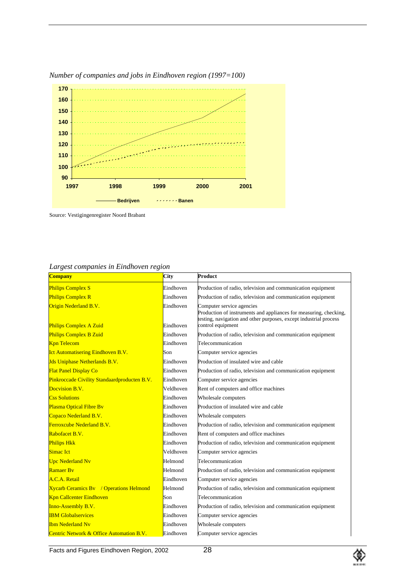

*Number of companies and jobs in Eindhoven region (1997=100)*

Source: Vestigingenregister Noord Brabant

*Largest companies in Eindhoven region*

| $\bm{\mathsf{\circ}}$<br><b>Company</b>             | City      | Product                                                                                                                                                             |
|-----------------------------------------------------|-----------|---------------------------------------------------------------------------------------------------------------------------------------------------------------------|
| <b>Philips Complex S</b>                            | Eindhoven | Production of radio, television and communication equipment                                                                                                         |
| <b>Philips Complex R</b>                            | Eindhoven | Production of radio, television and communication equipment                                                                                                         |
| Origin Nederland B.V.                               | Eindhoven | Computer service agencies<br>Production of instruments and appliances for measuring, checking,<br>testing, navigation and other purposes, except industrial process |
| <b>Philips Complex A Zuid</b>                       | Eindhoven | control equipment                                                                                                                                                   |
| <b>Philips Complex B Zuid</b>                       | Eindhoven | Production of radio, television and communication equipment                                                                                                         |
| <b>Kpn Telecom</b>                                  | Eindhoven | Telecommunication                                                                                                                                                   |
| <b>Ict Automatisering Eindhoven B.V.</b>            | Son       | Computer service agencies                                                                                                                                           |
| <b>Jds Uniphase Netherlands B.V.</b>                | Eindhoven | Production of insulated wire and cable                                                                                                                              |
| <b>Flat Panel Display Co</b>                        | Eindhoven | Production of radio, television and communication equipment                                                                                                         |
| <b>Pinkroccade Civility Standaardproducten B.V.</b> | Eindhoven | Computer service agencies                                                                                                                                           |
| Docvision B.V.                                      | Veldhoven | Rent of computers and office machines                                                                                                                               |
| <b>Css Solutions</b>                                | Eindhoven | Wholesale computers                                                                                                                                                 |
| <b>Plasma Optical Fibre By</b>                      | Eindhoven | Production of insulated wire and cable                                                                                                                              |
| Copaco Nederland B.V.                               | Eindhoven | Wholesale computers                                                                                                                                                 |
| <b>Ferroxcube Nederland B.V.</b>                    | Eindhoven | Production of radio, television and communication equipment                                                                                                         |
| Rabofacet B.V.                                      | Eindhoven | Rent of computers and office machines                                                                                                                               |
| <b>Philips Hkk</b>                                  | Eindhoven | Production of radio, television and communication equipment                                                                                                         |
| Simac Ict                                           | Veldhoven | Computer service agencies                                                                                                                                           |
| <b>Upc Nederland Nv</b>                             | Helmond   | Telecommunication                                                                                                                                                   |
| <b>Ramaer By</b>                                    | Helmond   | Production of radio, television and communication equipment                                                                                                         |
| A.C.A. Retail                                       | Eindhoven | Computer service agencies                                                                                                                                           |
| <b>Xycarb Ceramics By</b> / Operations Helmond      | Helmond   | Production of radio, television and communication equipment                                                                                                         |
| <b>Kpn Callcenter Eindhoven</b>                     | Son       | Telecommunication                                                                                                                                                   |
| <b>Inno-Assembly B.V.</b>                           | Eindhoven | Production of radio, television and communication equipment                                                                                                         |
| <b>IBM Globalservices</b>                           | Eindhoven | Computer service agencies                                                                                                                                           |
| <b>Ibm Nederland Nv</b>                             | Eindhoven | Wholesale computers                                                                                                                                                 |
| Centric Network & Office Automation B.V.            | Eindhoven | Computer service agencies                                                                                                                                           |

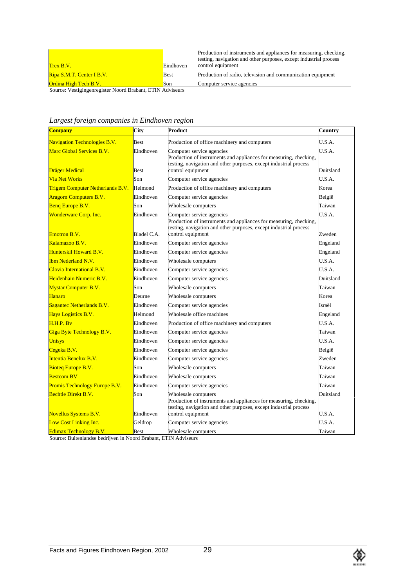| Trex B.V.                    | Eindhoven | Production of instruments and appliances for measuring, checking,<br>testing, navigation and other purposes, except industrial process<br>control equipment |
|------------------------------|-----------|-------------------------------------------------------------------------------------------------------------------------------------------------------------|
| Ripa S.M.T. Center I B.V.    | Best      | Production of radio, television and communication equipment                                                                                                 |
| <b>Ordina High Tech B.V.</b> | Son       | Computer service agencies                                                                                                                                   |

Source: Vestigingenregister Noord Brabant, ETIN Adviseurs

*Largest foreign companies in Eindhoven region*

| <b>Company</b>                                             | City                     | Product                                                                                                                                                                                  | Country             |
|------------------------------------------------------------|--------------------------|------------------------------------------------------------------------------------------------------------------------------------------------------------------------------------------|---------------------|
| <b>Navigation Technologies B.V.</b>                        | Best                     | Production of office machinery and computers                                                                                                                                             | U.S.A.              |
| Marc Global Services B.V.                                  | Eindhoven                | Computer service agencies<br>Production of instruments and appliances for measuring, checking,<br>testing, navigation and other purposes, except industrial process                      | U.S.A.              |
| <b>Dräger Medical</b>                                      | <b>Best</b>              | control equipment                                                                                                                                                                        | Duitsland           |
| <b>Via Net Works</b>                                       | Son                      | Computer service agencies                                                                                                                                                                | U.S.A.              |
| <b>Trigem Computer Netherlands B.V.</b>                    | Helmond                  | Production of office machinery and computers                                                                                                                                             | Korea               |
| <b>Aragorn Computers B.V.</b>                              | Eindhoven                | Computer service agencies                                                                                                                                                                | België              |
| Benq Europe B.V.                                           | Son                      | Wholesale computers                                                                                                                                                                      | Taiwan              |
| Wonderware Corp. Inc.<br><b>Emotron B.V.</b>               | Eindhoven<br>Bladel C.A. | Computer service agencies<br>Production of instruments and appliances for measuring, checking,<br>testing, navigation and other purposes, except industrial process<br>control equipment | U.S.A.<br>Zweden    |
| Kalamazoo B.V.                                             | Eindhoven                | Computer service agencies                                                                                                                                                                | Engeland            |
| Hunterskil Howard B.V.                                     | Eindhoven                | Computer service agencies                                                                                                                                                                | Engeland            |
| <b>Ibm Nederland N.V.</b>                                  | Eindhoven                | Wholesale computers                                                                                                                                                                      | U.S.A.              |
| Glovia International B.V.                                  | Eindhoven                | Computer service agencies                                                                                                                                                                | USA.                |
| Heidenhain Numeric B.V.                                    | Eindhoven                | Computer service agencies                                                                                                                                                                | Duitsland           |
| <b>Mystar Computer B.V.</b>                                | Son                      | Wholesale computers                                                                                                                                                                      | Taiwan              |
| Hanaro                                                     | Deurne                   | Wholesale computers                                                                                                                                                                      | Korea               |
| Sagantec Netherlands B.V.                                  | Eindhoven                | Computer service agencies                                                                                                                                                                | Israël              |
| Hays Logistics B.V.                                        | Helmond                  | Wholesale office machines                                                                                                                                                                | Engeland            |
| H.H.P. Bv                                                  | Eindhoven                | Production of office machinery and computers                                                                                                                                             | U.S.A.              |
| Giga Byte Technology B.V.                                  | Eindhoven                | Computer service agencies                                                                                                                                                                | Taiwan              |
| Unisys                                                     | Eindhoven                | Computer service agencies                                                                                                                                                                | U.S.A.              |
| Cegeka B.V.                                                | Eindhoven                | Computer service agencies                                                                                                                                                                | België              |
| Intentia Benelux B.V.                                      | Eindhoven                | Computer service agencies                                                                                                                                                                | Zweden              |
| <b>Bioteg Europe B.V.</b>                                  | Son                      | Wholesale computers                                                                                                                                                                      | Taiwan              |
| <b>Bestcom BV</b>                                          | Eindhoven                | Wholesale computers                                                                                                                                                                      | Taiwan              |
| Promis Technology Europe B.V.                              | Eindhoven                | Computer service agencies                                                                                                                                                                | Taiwan              |
| <b>Bechtle Direkt B.V.</b><br><b>Novellus Systems B.V.</b> | Son<br>Eindhoven         | Wholesale computers<br>Production of instruments and appliances for measuring, checking,<br>testing, navigation and other purposes, except industrial process<br>control equipment       | Duitsland<br>U.S.A. |
| Low Cost Linking Inc.                                      | Geldrop                  | Computer service agencies                                                                                                                                                                | U.S.A.              |
| <b>Edimax Technology B.V.</b>                              | Best                     | Wholesale computers                                                                                                                                                                      | Taiwan              |

Source: Buitenlandse bedrijven in Noord Brabant, ETIN Adviseurs

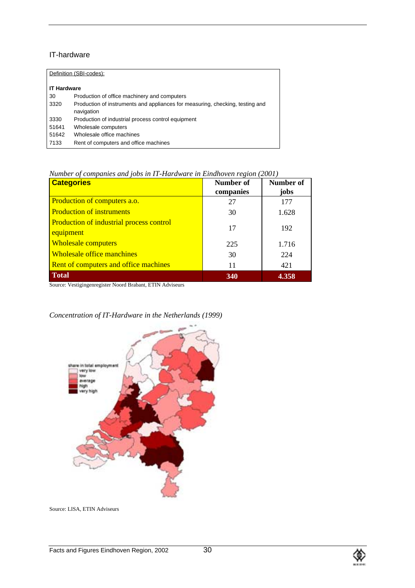### IT-hardware

| Definition (SBI-codes): |                                                                               |  |  |
|-------------------------|-------------------------------------------------------------------------------|--|--|
|                         |                                                                               |  |  |
| <b>IT Hardware</b>      |                                                                               |  |  |
| 30                      | Production of office machinery and computers                                  |  |  |
| 3320                    | Production of instruments and appliances for measuring, checking, testing and |  |  |
|                         | navigation                                                                    |  |  |
| 3330                    | Production of industrial process control equipment                            |  |  |
| 51641                   | Wholesale computers                                                           |  |  |
| 51642                   | Wholesale office machines                                                     |  |  |
| 7133                    | Rent of computers and office machines                                         |  |  |
|                         |                                                                               |  |  |

*Number of companies and jobs in IT-Hardware in Eindhoven region (2001)*

| <b>Categories</b>                                            | Number of<br>companies | Number of<br>jobs |
|--------------------------------------------------------------|------------------------|-------------------|
| <b>Production of computers a.o.</b>                          | 27                     | 177               |
| <b>Production of instruments</b>                             | 30                     | 1.628             |
| <b>Production of industrial process control</b><br>equipment | 17                     | 192               |
| <b>Wholesale computers</b>                                   | 225                    | 1.716             |
| <b>Wholesale office manchines</b>                            | 30                     | 224               |
| <b>Rent of computers and office machines</b>                 | 11                     | 421               |
| <b>Total</b>                                                 | 340                    | 4.358             |

Source: Vestigingenregister Noord Brabant, ETIN Adviseurs



# *Concentration of IT-Hardware in the Netherlands (1999)*

Source: LISA, ETIN Adviseurs

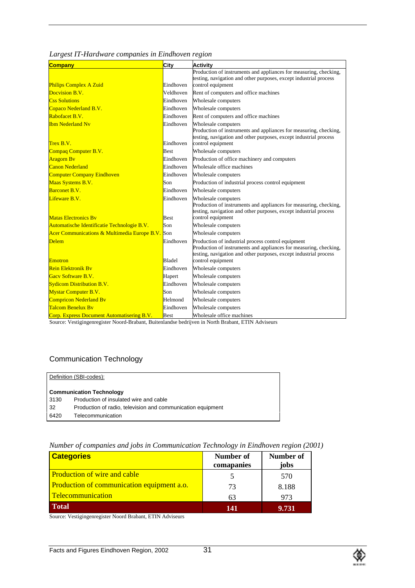| <b>Company</b>                                              | City                   | Activity                                                                                                                                                                                     |
|-------------------------------------------------------------|------------------------|----------------------------------------------------------------------------------------------------------------------------------------------------------------------------------------------|
|                                                             |                        | Production of instruments and appliances for measuring, checking,                                                                                                                            |
|                                                             | Eindhoven              | testing, navigation and other purposes, except industrial process                                                                                                                            |
| <b>Philips Complex A Zuid</b>                               |                        | control equipment                                                                                                                                                                            |
| Docvision B.V.                                              | Veldhoven              | Rent of computers and office machines                                                                                                                                                        |
| <b>Css Solutions</b>                                        | Eindhoven              | Wholesale computers                                                                                                                                                                          |
| Copaco Nederland B.V.                                       | Eindhoven              | Wholesale computers                                                                                                                                                                          |
| Rabofacet B.V.                                              | Eindhoven              | Rent of computers and office machines                                                                                                                                                        |
| Ibm Nederland Nv<br>Trex B.V.                               | Eindhoven<br>Eindhoven | Wholesale computers<br>Production of instruments and appliances for measuring, checking,<br>testing, navigation and other purposes, except industrial process<br>control equipment           |
| Compaq Computer B.V.                                        | <b>Best</b>            | Wholesale computers                                                                                                                                                                          |
| Aragorn Bv                                                  | Eindhoven              | Production of office machinery and computers                                                                                                                                                 |
| <b>Canon Nederland</b>                                      | Eindhoven              | Wholesale office machines                                                                                                                                                                    |
|                                                             | Eindhoven              |                                                                                                                                                                                              |
| <b>Computer Company Eindhoven</b>                           |                        | Wholesale computers                                                                                                                                                                          |
| Maas Systems B.V.                                           | Son                    | Production of industrial process control equipment                                                                                                                                           |
| <b>Barconet B.V.</b>                                        | Eindhoven              | Wholesale computers                                                                                                                                                                          |
| Lifeware B.V.                                               | Eindhoven              | Wholesale computers<br>Production of instruments and appliances for measuring, checking,<br>testing, navigation and other purposes, except industrial process                                |
| <b>Matas Electronics By</b>                                 | <b>Best</b>            | control equipment                                                                                                                                                                            |
| Automatische Identificatie Technologie B.V.                 | Son                    | Wholesale computers                                                                                                                                                                          |
| <b>Acer Communications &amp; Multimedia Europe B.V.</b> Son |                        | Wholesale computers                                                                                                                                                                          |
| <b>Delem</b>                                                | Eindhoven              | Production of industrial process control equipment<br>Production of instruments and appliances for measuring, checking,<br>testing, navigation and other purposes, except industrial process |
| <b>Emotron</b>                                              | Bladel                 | control equipment                                                                                                                                                                            |
| Rein Elektronik By                                          | Eindhoven              | Wholesale computers                                                                                                                                                                          |
| Gacy Software B.V.                                          | Hapert                 | Wholesale computers                                                                                                                                                                          |
| <b>Sydicom Distribution B.V.</b>                            | Eindhoven              | Wholesale computers                                                                                                                                                                          |
| Mystar Computer B.V.                                        | Son                    | Wholesale computers                                                                                                                                                                          |
| <b>Compricon Nederland By</b>                               | Helmond                | Wholesale computers                                                                                                                                                                          |

| Largest IT-Hardware companies in Eindhoven region |  |  |
|---------------------------------------------------|--|--|
|                                                   |  |  |
|                                                   |  |  |
|                                                   |  |  |

Corp. Express Document Automatisering B.V. Best Wholesale office machines Source: Vestigingenregister Noord-Brabant, Buitenlandse bedrijven in North Brabant, ETIN Adviseurs

Talcom Benelux By **Eindhoven** Wholesale computers

# Communication Technology

|      | Definition (SBI-codes):                                     |
|------|-------------------------------------------------------------|
|      | <b>Communication Technology</b>                             |
| 3130 | Production of insulated wire and cable                      |
| -32  | Production of radio, television and communication equipment |
| 6420 | Telecommunication                                           |

#### *Number of companies and jobs in Communication Technology in Eindhoven region (2001)*

| <b>Categories</b>                          | Number of  | Number of |
|--------------------------------------------|------------|-----------|
|                                            | comapanies | jobs      |
| <b>Production of wire and cable</b>        |            | 570       |
| Production of communication equipment a.o. | 73         | 8.188     |
| Telecommunication                          | 63         | 973       |
| <b>Total</b>                               | 141        | 9.731     |

Source: Vestigingenregister Noord Brabant, ETIN Adviseurs

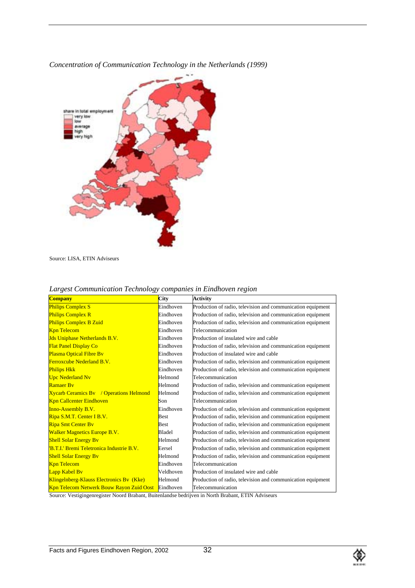

*Concentration of Communication Technology in the Netherlands (1999)*

Source: LISA, ETIN Adviseurs

| <b>Company</b>                                  | City        | <b>Activity</b>                                             |
|-------------------------------------------------|-------------|-------------------------------------------------------------|
| <b>Philips Complex S</b>                        | Eindhoven   | Production of radio, television and communication equipment |
| <b>Philips Complex R</b>                        | Eindhoven   | Production of radio, television and communication equipment |
| <b>Philips Complex B Zuid</b>                   | Eindhoven   | Production of radio, television and communication equipment |
| <b>Kpn Telecom</b>                              | Eindhoven   | Telecommunication                                           |
| <b>Jds Uniphase Netherlands B.V.</b>            | Eindhoven   | Production of insulated wire and cable                      |
| <b>Flat Panel Display Co</b>                    | Eindhoven   | Production of radio, television and communication equipment |
| <b>Plasma Optical Fibre By</b>                  | Eindhoven   | Production of insulated wire and cable                      |
| <b>Ferroxcube Nederland B.V.</b>                | Eindhoven   | Production of radio, television and communication equipment |
| <b>Philips Hkk</b>                              | Eindhoven   | Production of radio, television and communication equipment |
| <b>Upc Nederland Nv</b>                         | Helmond     | Telecommunication                                           |
| <b>Ramaer By</b>                                | Helmond     | Production of radio, television and communication equipment |
| <b>Xycarb Ceramics By</b> / Operations Helmond  | Helmond     | Production of radio, television and communication equipment |
| <b>Kpn Callcenter Eindhoven</b>                 | Son         | Telecommunication                                           |
| <b>Inno-Assembly B.V.</b>                       | Eindhoven   | Production of radio, television and communication equipment |
| Ripa S.M.T. Center I B.V.                       | <b>Best</b> | Production of radio, television and communication equipment |
| <b>Ripa Smt Center By</b>                       | <b>Best</b> | Production of radio, television and communication equipment |
| <b>Walker Magnetics Europe B.V.</b>             | Bladel      | Production of radio, television and communication equipment |
| <b>Shell Solar Energy By</b>                    | Helmond     | Production of radio, television and communication equipment |
| 'B.T.I.' Bremi Teletronica Industrie B.V.       | Eersel      | Production of radio, television and communication equipment |
| <b>Shell Solar Energy By</b>                    | Helmond     | Production of radio, television and communication equipment |
| <b>Kpn Telecom</b>                              | Eindhoven   | Telecommunication                                           |
| Lapp Kabel By                                   | Veldhoven   | Production of insulated wire and cable                      |
| Klingelnberg-Klauss Electronics By (Kke)        | Helmond     | Production of radio, television and communication equipment |
| <b>Kpn Telecom Netwerk Bouw Rayon Zuid Oost</b> | Eindhoven   | Telecommunication                                           |

#### *Largest Communication Technology companies in Eindhoven region*

Source: Vestigingenregister Noord Brabant, Buitenlandse bedrijven in North Brabant, ETIN Adviseurs

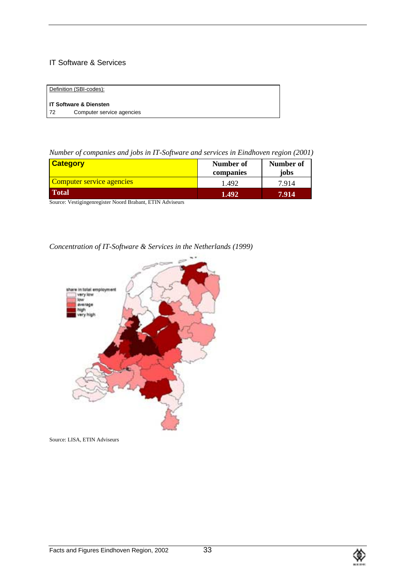# IT Software & Services

|     | Definition (SBI-codes):   |
|-----|---------------------------|
|     | l IT Software & Diensten  |
| -72 | Computer service agencies |

*Number of companies and jobs in IT-Software and services in Eindhoven region (2001)*

| <b>Category</b>                  | Number of<br>companies | Number of<br>jobs |
|----------------------------------|------------------------|-------------------|
| <b>Computer service agencies</b> | 1.492                  | 7.914             |
| <b>Total</b>                     | 1.492                  | 7.914             |

Source: Vestigingenregister Noord Brabant, ETIN Adviseurs

# *Concentration of IT-Software & Services in the Netherlands (1999)*



Source: LISA, ETIN Adviseurs

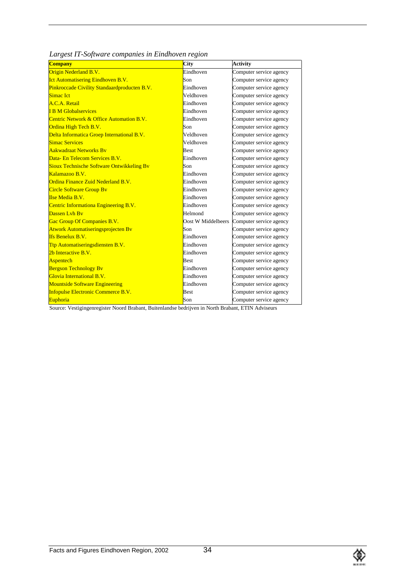| Largest IT-Software companies in Eindhoven region |  |  |  |
|---------------------------------------------------|--|--|--|
|---------------------------------------------------|--|--|--|

| <b>Company</b>                               | City               | <b>Activity</b>         |
|----------------------------------------------|--------------------|-------------------------|
| Origin Nederland B.V.                        | Eindhoven          | Computer service agency |
| <b>Ict Automatisering Eindhoven B.V.</b>     | Son                | Computer service agency |
| Pinkroccade Civility Standaardproducten B.V. | Eindhoven          | Computer service agency |
| Simac Ict                                    | Veldhoven          | Computer service agency |
| A.C.A. Retail                                | Eindhoven          | Computer service agency |
| <b>I B M Globalservices</b>                  | Eindhoven          | Computer service agency |
| Centric Network & Office Automation B.V.     | Eindhoven          | Computer service agency |
| Ordina High Tech B.V.                        | Son                | Computer service agency |
| Delta Informatica Groep International B.V.   | Veldhoven          | Computer service agency |
| <b>Simac Services</b>                        | Veldhoven          | Computer service agency |
| <b>Aakwadraat Networks By</b>                | <b>Best</b>        | Computer service agency |
| Data- En Telecom Services B.V.               | Eindhoven          | Computer service agency |
| Sioux Technische Software Ontwikkeling Bv    | Son                | Computer service agency |
| Kalamazoo B.V.                               | Eindhoven          | Computer service agency |
| Ordina Finance Zuid Nederland B V.           | Eindhoven          | Computer service agency |
| <b>Circle Software Group By</b>              | Eindhoven          | Computer service agency |
| <b>Ilse Media B.V.</b>                       | Eindhoven          | Computer service agency |
| Centric Informationa Engineering B.V.        | Eindhoven          | Computer service agency |
| Dassen Lyh By                                | Helmond            | Computer service agency |
| Gac Group Of Companies B.V.                  | Oost W Middelbeers | Computer service agency |
| Atwork Automatiseringsprojecten Bv           | Son                | Computer service agency |
| <b>Ifs Benelux B.V.</b>                      | Eindhoven          | Computer service agency |
| Ttp Automatiseringsdiensten B.V.             | Eindhoven          | Computer service agency |
| 2b Interactive B.V.                          | Eindhoven          | Computer service agency |
| <b>Aspentech</b>                             | Best               | Computer service agency |
| <b>Bergson Technology Bv</b>                 | Eindhoven          | Computer service agency |
| Glovia International B.V.                    | Eindhoven          | Computer service agency |
| <b>Mountside Software Engineering</b>        | Eindhoven          | Computer service agency |
| <b>Infopulse Electronic Commerce B.V.</b>    | <b>Best</b>        | Computer service agency |
| Euphoria                                     | Son                | Computer service agency |

Source: Vestigingenregister Noord Brabant, Buitenlandse bedrijven in North Brabant, ETIN Adviseurs

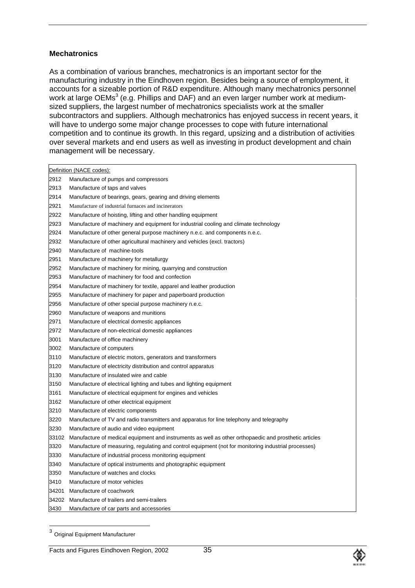#### **Mechatronics**

As a combination of various branches, mechatronics is an important sector for the manufacturing industry in the Eindhoven region. Besides being a source of employment, it accounts for a sizeable portion of R&D expenditure. Although many mechatronics personnel work at large OEMs<sup>3</sup> (e.g. Phillips and DAF) and an even larger number work at mediumsized suppliers, the largest number of mechatronics specialists work at the smaller subcontractors and suppliers. Although mechatronics has enjoyed success in recent years, it will have to undergo some major change processes to cope with future international competition and to continue its growth. In this regard, upsizing and a distribution of activities over several markets and end users as well as investing in product development and chain management will be necessary.

|       | Definition (NACE codes):                                                                              |
|-------|-------------------------------------------------------------------------------------------------------|
| 2912  | Manufacture of pumps and compressors                                                                  |
| 2913  | Manufacture of taps and valves                                                                        |
| 2914  | Manufacture of bearings, gears, gearing and driving elements                                          |
| 2921  | Manufacture of industrial furnaces and incinerators                                                   |
| 2922  | Manufacture of hoisting, lifting and other handling equipment                                         |
| 2923  | Manufacture of machinery and equipment for industrial cooling and climate technology                  |
| 2924  | Manufacture of other general purpose machinery n.e.c. and components n.e.c.                           |
| 2932  | Manufacture of other agricultural machinery and vehicles (excl. tractors)                             |
| 2940  | Manufacture of machine-tools                                                                          |
| 2951  | Manufacture of machinery for metallurgy                                                               |
| 2952  | Manufacture of machinery for mining, quarrying and construction                                       |
| 2953  | Manufacture of machinery for food and confection                                                      |
| 2954  | Manufacture of machinery for textile, apparel and leather production                                  |
| 2955  | Manufacture of machinery for paper and paperboard production                                          |
| 2956  | Manufacture of other special purpose machinery n.e.c.                                                 |
| 2960  | Manufacture of weapons and munitions                                                                  |
| 2971  | Manufacture of electrical domestic appliances                                                         |
| 2972  | Manufacture of non-electrical domestic appliances                                                     |
| 3001  | Manufacture of office machinery                                                                       |
| 3002  | Manufacture of computers                                                                              |
| 3110  | Manufacture of electric motors, generators and transformers                                           |
| 3120  | Manufacture of electricity distribution and control apparatus                                         |
| 3130  | Manufacture of insulated wire and cable                                                               |
| 3150  | Manufacture of electrical lighting and tubes and lighting equipment                                   |
| 3161  | Manufacture of electrical equipment for engines and vehicles                                          |
| 3162  | Manufacture of other electrical equipment                                                             |
| 3210  | Manufacture of electric components                                                                    |
| 3220  | Manufacture of TV and radio transmitters and apparatus for line telephony and telegraphy              |
| 3230  | Manufacture of audio and video equipment                                                              |
| 33102 | Manufacture of medical equipment and instruments as well as other orthopaedic and prosthetic articles |
| 3320  | Manufacture of measuring, regulating and control equipment (not for monitoring industrial processes)  |
| 3330  | Manufacture of industrial process monitoring equipment                                                |
| 3340  | Manufacture of optical instruments and photographic equipment                                         |
| 3350  | Manufacture of watches and clocks                                                                     |
| 3410  | Manufacture of motor vehicles                                                                         |
| 34201 | Manufacture of coachwork                                                                              |
| 34202 | Manufacture of trailers and semi-trailers                                                             |
| 3430  | Manufacture of car parts and accessories                                                              |



 <sup>3</sup> Original Equipment Manufacturer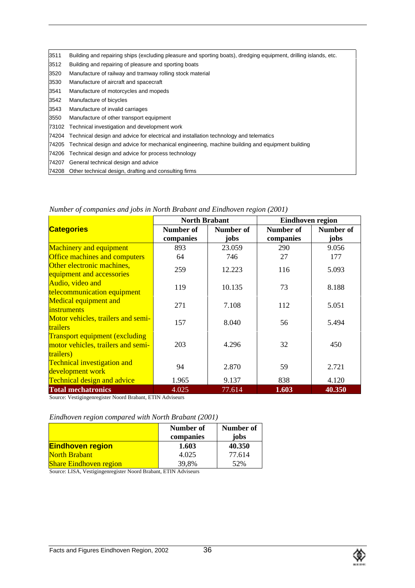| 3511  | Building and repairing ships (excluding pleasure and sporting boats), dredging equipment, drilling islands, etc. |
|-------|------------------------------------------------------------------------------------------------------------------|
| 3512  | Building and repairing of pleasure and sporting boats                                                            |
| 3520  | Manufacture of railway and tramway rolling stock material                                                        |
| 3530  | Manufacture of aircraft and spacecraft                                                                           |
| 3541  | Manufacture of motorcycles and mopeds                                                                            |
| 3542  | Manufacture of bicycles                                                                                          |
| 3543  | Manufacture of invalid carriages                                                                                 |
| 3550  | Manufacture of other transport equipment                                                                         |
| 73102 | Technical investigation and development work                                                                     |
| 74204 | Technical design and advice for electrical and installation technology and telematics                            |
| 74205 | Technical design and advice for mechanical engineering, machine building and equipment building                  |
| 74206 | Technical design and advice for process technology                                                               |
| 74207 | General technical design and advice                                                                              |
|       | 74208 Other technical design, drafting and consulting firms                                                      |

|                                                                                           | <b>North Brabant</b>          |                   | Eindhoven region       |                   |  |
|-------------------------------------------------------------------------------------------|-------------------------------|-------------------|------------------------|-------------------|--|
| <b>Categories</b>                                                                         | <b>Number of</b><br>companies | Number of<br>jobs | Number of<br>companies | Number of<br>jobs |  |
| <b>Machinery and equipment</b>                                                            | 893                           | 23.059            | 290                    | 9.056             |  |
| <b>Office machines and computers</b>                                                      | 64                            | 746               | 27                     | 177               |  |
| Other electronic machines,<br>equipment and accessories                                   | 259                           | 12.223            | 116                    | 5.093             |  |
| Audio, video and<br>telecommunication equipment                                           | 119                           | 10.135            | 73                     | 8.188             |  |
| <b>Medical equipment and</b><br><i>instruments</i>                                        | 271                           | 7.108             | 112                    | 5.051             |  |
| Motor vehicles, trailers and semi-<br><b>trailers</b>                                     | 157                           | 8.040             | 56                     | 5.494             |  |
| <b>Transport equipment (excluding)</b><br>motor vehicles, trailers and semi-<br>trailers) | 203                           | 4.296             | 32                     | 450               |  |
| <b>Technical investigation and</b><br>development work                                    | 94                            | 2.870             | 59                     | 2.721             |  |
| <b>Technical design and advice</b>                                                        | 1.965                         | 9.137             | 838                    | 4.120             |  |
| <b>Total mechatronics</b>                                                                 | 4.025                         | 77.614            | 1.603                  | 40.350            |  |

*Number of companies and jobs in North Brabant and Eindhoven region (2001)*

Source: Vestigingenregister Noord Brabant, ETIN Adviseurs

#### *Eindhoven region compared with North Brabant (2001)*

|                               | Number of<br>companies | Number of<br>jobs |
|-------------------------------|------------------------|-------------------|
| <b>Eindhoven region</b>       | 1.603                  | 40.350            |
| <b>North Brabant</b>          | 4.025                  | 77.614            |
| <b>Share Eindhoven region</b> | 39,8%                  | 52%               |

Source: LISA, Vestigingenregister Noord Brabant, ETIN Adviseurs

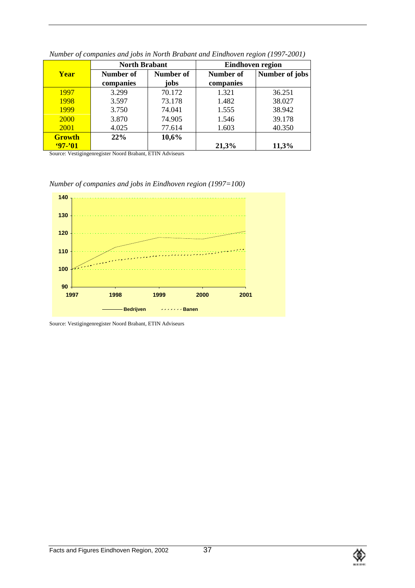|               | <b>North Brabant</b> |           |           | <b>Eindhoven region</b> |
|---------------|----------------------|-----------|-----------|-------------------------|
| <b>Year</b>   | Number of            | Number of | Number of | Number of jobs          |
|               | companies            | jobs      | companies |                         |
| 1997          | 3.299                | 70.172    | 1.321     | 36.251                  |
| 1998          | 3.597                | 73.178    | 1.482     | 38.027                  |
| 1999          | 3.750                | 74.041    | 1.555     | 38.942                  |
| 2000          | 3.870                | 74.905    | 1.546     | 39.178                  |
| <b>2001</b>   | 4.025                | 77.614    | 1.603     | 40.350                  |
| <b>Growth</b> | 22%                  | 10,6%     |           |                         |
| $97 - 01$     |                      |           | 21,3%     | 11,3%                   |

*Number of companies and jobs in North Brabant and Eindhoven region (1997-2001)*

Source: Vestigingenregister Noord Brabant, ETIN Adviseurs

*Number of companies and jobs in Eindhoven region (1997=100)*



Source: Vestigingenregister Noord Brabant, ETIN Adviseurs

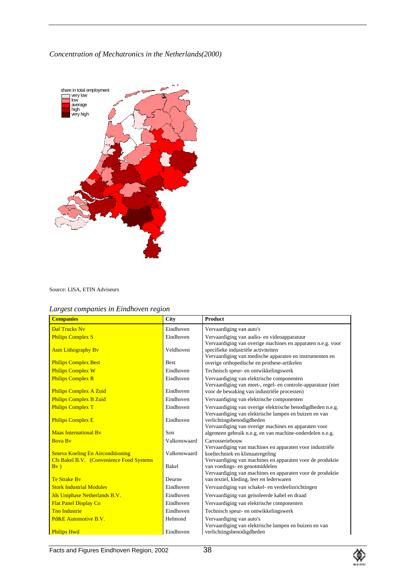*Concentration of Mechatronics in the Netherlands(2000)*



Source: LISA, ETIN Adviseurs

|  |  | Largest companies in Eindhoven region |  |
|--|--|---------------------------------------|--|
|  |  |                                       |  |

| <b>Companies</b>                                                                                  | <b>City</b>           | <b>Product</b>                                                                                                                                                                                                                                          |
|---------------------------------------------------------------------------------------------------|-----------------------|---------------------------------------------------------------------------------------------------------------------------------------------------------------------------------------------------------------------------------------------------------|
| <b>Daf Trucks Nv</b>                                                                              | Eindhoven             | Vervaardiging van auto's                                                                                                                                                                                                                                |
| <b>Philips Complex S</b>                                                                          | Eindhoven             | Vervaardiging van audio- en videoapparatuur                                                                                                                                                                                                             |
| <b>Asm Lithography By</b>                                                                         | Veldhoven             | Vervaardiging van overige machines en apparaten n.e.g. voor<br>specifieke industriële activiteiten<br>Vervaardiging van medische apparaten en instrumenten en                                                                                           |
| <b>Philips Complex Best</b>                                                                       | <b>Best</b>           | overige orthopedische en prothese-artikelen                                                                                                                                                                                                             |
| <b>Philips Complex W</b>                                                                          | Eindhoven             | Technisch speur- en ontwikkelingswerk                                                                                                                                                                                                                   |
| <b>Philips Complex R</b>                                                                          | Eindhoven             | Vervaardiging van elektrische componenten<br>Vervaardiging van meet-, regel- en controle-apparatuur (niet                                                                                                                                               |
| <b>Philips Complex A Zuid</b>                                                                     | Eindhoven             | voor de bewaking van industriële processen)                                                                                                                                                                                                             |
| <b>Philips Complex B Zuid</b>                                                                     | Eindhoven             | Vervaardiging van elektrische componenten                                                                                                                                                                                                               |
| <b>Philips Complex T</b>                                                                          | Eindhoven             | Vervaardiging van overige elektrische benodigdheden n.e.g.                                                                                                                                                                                              |
| <b>Philips Complex E</b>                                                                          | Eindhoven             | Vervaardiging van elektrische lampen en buizen en van<br>verlichtingsbenodigdheden<br>Vervaardiging van overige machines en apparaten voor                                                                                                              |
| <b>Maas International By</b>                                                                      | Son                   | algemeen gebruik n.e.g. en van machine-onderdelen n.e.g.                                                                                                                                                                                                |
| <b>Boya By</b>                                                                                    | Valkenswaard          | Carrosseriebouw                                                                                                                                                                                                                                         |
| <b>Smeva Koeling En Airconditioning</b><br><b>Cfs Bakel B.V.</b> (Convenience Food Systems<br>Bv) | Valkenswaard<br>Bakel | Vervaardiging van machines en apparaten voor industriële<br>koeltechniek en klimaatregeling<br>Vervaardiging van machines en apparaten voor de produktie<br>van voedings- en genotmiddelen<br>Vervaardiging van machines en apparaten voor de produktie |
| <b>Te Strake By</b>                                                                               | Deurne                | van textiel, kleding, leer en lederwaren                                                                                                                                                                                                                |
| <b>Stork Industrial Modules</b>                                                                   | Eindhoven             | Vervaardiging van schakel- en verdeelinrichtingen                                                                                                                                                                                                       |
| <b>Jds Uniphase Netherlands B.V.</b>                                                              | Eindhoven             | Vervaardiging van geïsoleerde kabel en draad                                                                                                                                                                                                            |
| <b>Flat Panel Display Co</b>                                                                      | Eindhoven             | Vervaardiging van elektrische componenten                                                                                                                                                                                                               |
| <b>Tho Industrie</b>                                                                              | Eindhoven             | Technisch speur- en ontwikkelingswerk                                                                                                                                                                                                                   |
| Pd&E Automotive B.V.                                                                              | Helmond               | Vervaardiging van auto's                                                                                                                                                                                                                                |
| <b>Philips Hwd</b>                                                                                | Eindhoven             | Vervaardiging van elektrische lampen en buizen en van<br>verlichtingsbenodigdheden                                                                                                                                                                      |

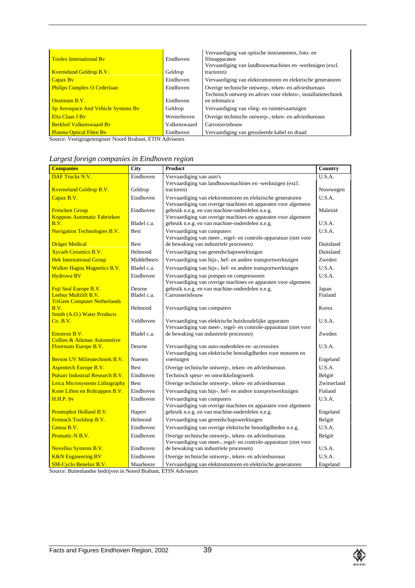| <b>Toolex International By</b>      | Eindhoven    | Vervaardiging van optische instrumenten, foto- en<br>filmapparaten<br>Vervaardiging van landbouwmachines en -werktuigen (excl. |
|-------------------------------------|--------------|--------------------------------------------------------------------------------------------------------------------------------|
| <b>Kverneland Geldrop B.V.</b>      | Geldrop      | tractoren)                                                                                                                     |
| Capax By                            | Eindhoven    | Vervaardiging van elektromotoren en elektrische generatoren                                                                    |
| <b>Philips Complex O Cederlaan</b>  | Eindhoven    | Overige technische ontwerp-, teken- en adviesbureaus<br>Technisch ontwerp en advies voor elektro-, installatietechniek         |
| <b>Onstream B.V.</b>                | Eindhoven    | en telematica                                                                                                                  |
| Sp Aerospace And Vehicle Systems By | Geldrop      | Vervaardiging van vlieg- en ruimtevaartuigen                                                                                   |
| Elta Claas J By                     | Westerhoven  | Overige technische ontwerp-, teken- en adviesbureaus                                                                           |
| <b>Berkhof Valkenswaard By</b>      | Valkenswaard | Carrosseriebouw                                                                                                                |
| <b>Plasma Optical Fibre By</b>      | Eindhoven    | Vervaardiging van geisoleerde kabel en draad                                                                                   |

Source: Vestigingenregister Noord Brabant, ETIN Adviseurs

| <b>Companies</b>                                            | City        | <b>Product</b>                                                                                                               | Country     |
|-------------------------------------------------------------|-------------|------------------------------------------------------------------------------------------------------------------------------|-------------|
| DAF Trucks N.V.                                             | Eindhoven   | Vervaardiging van auto's                                                                                                     | U.S.A.      |
|                                                             |             | Vervaardiging van landbouwmachines en -werktuigen (excl.                                                                     |             |
| <b>Kverneland Geldrop B.V.</b>                              | Geldrop     | tractoren)                                                                                                                   | Noorwegen   |
| Capax B.V.                                                  | Eindhoven   | Vervaardiging van elektromotoren en elektrische generatoren<br>Vervaardiging van overige machines en apparaten voor algemeen | U.S.A.      |
| <b>Frencken Group</b>                                       | Eindhoven   | gebruik n.e.g. en van machine-onderdelen n.e.g.                                                                              | Maleisië    |
| <b>Koppens Automatic Fabrieken</b>                          |             | Vervaardiging van overige machines en apparaten voor algemeen                                                                |             |
| B.V.                                                        | Bladel c.a. | gebruik n.e.g. en van machine-onderdelen n.e.g.                                                                              | U.S.A.      |
| <b>Navigation Technologies B.V.</b>                         | <b>Best</b> | Vervaardiging van computers<br>Vervaardiging van meet-, regel- en controle-apparatuur (niet voor                             | U.S.A.      |
| <b>Dräger Medical</b>                                       | <b>Best</b> | de bewaking van industriele processen)                                                                                       | Duitsland   |
| <b>Xycarb Ceramics B.V.</b>                                 | Helmond     | Vervaardiging van gereedschapswerktuigen                                                                                     | Duitsland   |
| <b>Hek International Group</b>                              | Middelbeers | Vervaardiging van hijs-, hef- en andere transportwerktuigen                                                                  | Zweden      |
| <b>Walker Hagou Magnetics B.V.</b>                          | Bladel c.a. | Vervaardiging van hijs-, hef- en andere transportwerktuigen                                                                  | U.S.A.      |
| <b>Hydrowa BV</b>                                           | Eindhoven   | Vervaardiging van pompen en compressoren                                                                                     | U.S.A.      |
|                                                             |             | Vervaardiging van overige machines en apparaten voor algemeen                                                                |             |
| Fuji Seal Europe B.V.                                       | Deurne      | gebruik n.e.g. en van machine-onderdelen n.e.g.                                                                              | Japan       |
| Leebur Multilift B.V.<br><b>TriGem Computer Netherlands</b> | Bladel c.a. | Carrosseriebouw                                                                                                              | Finland     |
| B.V.                                                        | Helmond     | Vervaardiging van computers                                                                                                  | Korea       |
| <b>Smith (A.O.) Water Products</b>                          |             |                                                                                                                              |             |
| Co. B.V.                                                    | Veldhoven   | Vervaardiging van elektrische huishoudelijke apparaten<br>Vervaardiging van meet-, regel- en controle-apparatuur (niet voor  | U.S.A.      |
| Emotron B.V.                                                | Bladel c.a. | de bewaking van industriele processen)                                                                                       | Zweden      |
| <b>Collins &amp; Aikman Automotive</b>                      |             |                                                                                                                              |             |
| <b>Floormats Europe B.V.</b>                                | Deurne      | Vervaardiging van auto-onderdelen en -accessoires<br>Vervaardiging van elektrische benodigdheden voor motoren en             | U.S.A.      |
| <b>Berson UV Milieutechniek B.V.</b>                        | Nuenen      | voertuigen                                                                                                                   | Engeland    |
| <b>Aspentech Europe B.V.</b>                                | <b>Best</b> | Overige technische ontwerp-, teken- en adviesbureaus                                                                         | U.S.A.      |
| <b>Pulsarr Industrial Research B.V.</b>                     | Eindhoven   | Technisch speur- en ontwikkelingswerk                                                                                        | België      |
| Leica Microsystems Lithography                              | <b>Best</b> | Overige technische ontwerp-, teken- en adviesbureaus                                                                         | Zwitserland |
| Kone Liften en Roltrappen B.V.                              | Eindhoven   | Vervaardiging van hijs-, hef- en andere transportwerktuigen                                                                  | Finland     |
| H.H.P. by                                                   | Eindhoven   | Vervaardiging van computers                                                                                                  | U.S.A.      |
|                                                             |             | Vervaardiging van overige machines en apparaten voor algemeen                                                                |             |
| <b>Prontophot Holland B.V.</b>                              | Hapert      | gebruik n.e.g. en van machine-onderdelen n.e.g.                                                                              | Engeland    |
| Fremach Toolshop B.V.                                       | Helmond     | Vervaardiging van gereedschapswerktuigen                                                                                     | België      |
| Genoa B.V.                                                  | Eindhoven   | Vervaardiging van overige elektrische benodigdheden n.e.g.                                                                   | U.S.A.      |
| Promatic-N B.V.                                             | Eindhoven   | Overige technische ontwerp-, teken- en adviesbureaus                                                                         | België      |
|                                                             |             | Vervaardiging van meet-, regel- en controle-apparatuur (niet voor                                                            |             |
| <b>Novellus Systems B.V.</b>                                | Eindhoven   | de bewaking van industriele processen)                                                                                       | U.S.A.      |
| <b>K&amp;N</b> Engineering BV                               | Eindhoven   | Overige technische ontwerp-, teken- en adviesbureaus                                                                         | U.S.A.      |
| <b>SM-Cyclo Benelux B.V.</b>                                | Maarheeze   | Vervaardiging van elektromotoren en elektrische generatoren                                                                  | Engeland    |

*Largest foreign companies in Eindhoven region*

Source: Buitenlandse bedrijven in Noord Brabant, ETIN Adviseurs

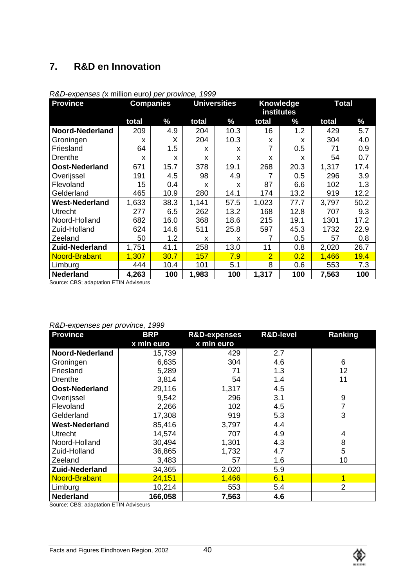# **7. R&D en Innovation**

| <b>Province</b>       | <b>Companies</b> |      |       | <b>Universities</b> |                | Knowledge<br>institutes |       | <b>Total</b> |  |
|-----------------------|------------------|------|-------|---------------------|----------------|-------------------------|-------|--------------|--|
|                       |                  |      |       |                     |                |                         |       |              |  |
|                       | total            | $\%$ | total | $\%$                | total          | $\%$                    | total | $\%$         |  |
| Noord-Nederland       | 209              | 4.9  | 204   | 10.3                | 16             | 1.2                     | 429   | 5.7          |  |
| Groningen             | x                | X    | 204   | 10.3                | X              | x                       | 304   | 4.0          |  |
| Friesland             | 64               | 1.5  | x     | X                   | 7              | 0.5                     | 71    | 0.9          |  |
| Drenthe               | X                | X    | X     | X                   | x              | X                       | 54    | 0.7          |  |
| Oost-Nederland        | 671              | 15.7 | 378   | 19.1                | 268            | 20.3                    | 1,317 | 17.4         |  |
| Overijssel            | 191              | 4.5  | 98    | 4.9                 |                | 0.5                     | 296   | 3.9          |  |
| Flevoland             | 15               | 0.4  | X     | X                   | 87             | 6.6                     | 102   | 1.3          |  |
| Gelderland            | 465              | 10.9 | 280   | 14.1                | 174            | 13.2                    | 919   | 12.2         |  |
| <b>West-Nederland</b> | 1,633            | 38.3 | 1,141 | 57.5                | 1,023          | 77.7                    | 3,797 | 50.2         |  |
| <b>Utrecht</b>        | 277              | 6.5  | 262   | 13.2                | 168            | 12.8                    | 707   | 9.3          |  |
| Noord-Holland         | 682              | 16.0 | 368   | 18.6                | 215            | 19.1                    | 1301  | 17.2         |  |
| Zuid-Holland          | 624              | 14.6 | 511   | 25.8                | 597            | 45.3                    | 1732  | 22.9         |  |
| Zeeland               | 50               | 1.2  | X     | X                   |                | 0.5                     | 57    | 0.8          |  |
| <b>Zuid-Nederland</b> | 1,751            | 41.1 | 258   | 13.0                | 11             | 0.8                     | 2,020 | 26.7         |  |
| Noord-Brabant         | 1,307            | 30.7 | 157   | 7.9                 | $\overline{2}$ | 0.2                     | 1,466 | 19.4         |  |
| Limburg               | 444              | 10.4 | 101   | 5.1                 | 8              | 0.6                     | 553   | 7.3          |  |
| <b>Nederland</b>      | 4,263            | 100  | 1,983 | 100                 | 1,317          | 100                     | 7,563 | 100          |  |

#### *R&D-expenses (*x million euro*) per province, 1999*

Source: CBS; adaptation ETIN Adviseurs

#### *R&D-expenses per province, 1999*

| $\frac{1}{2}$<br><b>Province</b> | <b>BRP</b> | <b>R&amp;D-expenses</b> | <b>R&amp;D-level</b> | Ranking        |
|----------------------------------|------------|-------------------------|----------------------|----------------|
|                                  | x mln euro | x mln euro              |                      |                |
| Noord-Nederland                  | 15,739     | 429                     | 2.7                  |                |
| Groningen                        | 6,635      | 304                     | 4.6                  | 6              |
| Friesland                        | 5,289      | 71                      | 1.3                  | 12             |
| Drenthe                          | 3,814      | 54                      | 1.4                  | 11             |
| Oost-Nederland                   | 29,116     | 1,317                   | 4.5                  |                |
| Overijssel                       | 9,542      | 296                     | 3.1                  | 9              |
| Flevoland                        | 2,266      | 102                     | 4.5                  |                |
| Gelderland                       | 17,308     | 919                     | 5.3                  | 3              |
| <b>West-Nederland</b>            | 85,416     | 3,797                   | 4.4                  |                |
| <b>Utrecht</b>                   | 14,574     | 707                     | 4.9                  | 4              |
| Noord-Holland                    | 30,494     | 1,301                   | 4.3                  | 8              |
| Zuid-Holland                     | 36,865     | 1,732                   | 4.7                  | 5              |
| Zeeland                          | 3,483      | 57                      | 1.6                  | 10             |
| <b>Zuid-Nederland</b>            | 34,365     | 2,020                   | 5.9                  |                |
| Noord-Brabant                    | 24,151     | 1,466                   | 6.1                  |                |
| Limburg                          | 10,214     | 553                     | 5.4                  | $\overline{2}$ |
| <b>Nederland</b>                 | 166,058    | 7,563                   | 4.6                  |                |

Source: CBS; adaptation ETIN Adviseurs

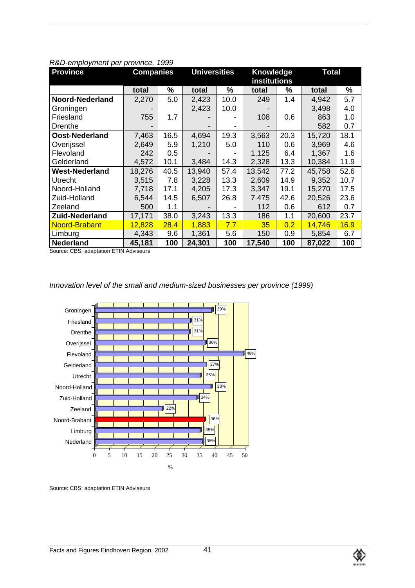| <b>Province</b>       | <b>Universities</b><br><b>Companies</b> |      | Knowledge<br><b>institutions</b> |      | <b>Total</b> |      |        |      |
|-----------------------|-----------------------------------------|------|----------------------------------|------|--------------|------|--------|------|
|                       | total                                   | %    | total                            | %    | total        | %    | total  | %    |
| Noord-Nederland       | 2,270                                   | 5.0  | 2,423                            | 10.0 | 249          | 1.4  | 4,942  | 5.7  |
| Groningen             |                                         |      | 2,423                            | 10.0 |              |      | 3,498  | 4.0  |
| Friesland             | 755                                     | 1.7  |                                  |      | 108          | 0.6  | 863    | 1.0  |
| Drenthe               |                                         |      |                                  |      |              |      | 582    | 0.7  |
| Oost-Nederland        | 7,463                                   | 16.5 | 4,694                            | 19.3 | 3,563        | 20.3 | 15,720 | 18.1 |
| Overijssel            | 2,649                                   | 5.9  | 1,210                            | 5.0  | 110          | 0.6  | 3,969  | 4.6  |
| Flevoland             | 242                                     | 0.5  |                                  |      | 1,125        | 6.4  | 1,367  | 1.6  |
| Gelderland            | 4,572                                   | 10.1 | 3,484                            | 14.3 | 2,328        | 13.3 | 10,384 | 11.9 |
| <b>West-Nederland</b> | 18,276                                  | 40.5 | 13,940                           | 57.4 | 13.542       | 77.2 | 45,758 | 52.6 |
| Utrecht               | 3,515                                   | 7.8  | 3,228                            | 13.3 | 2,609        | 14.9 | 9,352  | 10.7 |
| Noord-Holland         | 7,718                                   | 17.1 | 4,205                            | 17.3 | 3,347        | 19.1 | 15,270 | 17.5 |
| Zuid-Holland          | 6,544                                   | 14.5 | 6,507                            | 26.8 | 7.475        | 42.6 | 20,526 | 23.6 |
| Zeeland               | 500                                     | 1.1  |                                  |      | 112          | 0.6  | 612    | 0.7  |
| <b>Zuid-Nederland</b> | 17,171                                  | 38.0 | 3,243                            | 13.3 | 186          | 1.1  | 20,600 | 23.7 |
| Noord-Brabant         | 12,828                                  | 28.4 | 1,883                            | 7.7  | 35           | 0.2  | 14,746 | 16.9 |
| Limburg               | 4,343                                   | 9.6  | 1,361                            | 5.6  | 150          | 0.9  | 5,854  | 6.7  |
| <b>Nederland</b>      | 45,181                                  | 100  | 24,301                           | 100  | 17,540       | 100  | 87,022 | 100  |

#### *R&D-employment per province, 1999*

Source: CBS; adaptation ETIN Adviseurs

# *Innovation level of the small and medium-sized businesses per province (1999)*



Source: CBS; adaptation ETIN Adviseurs

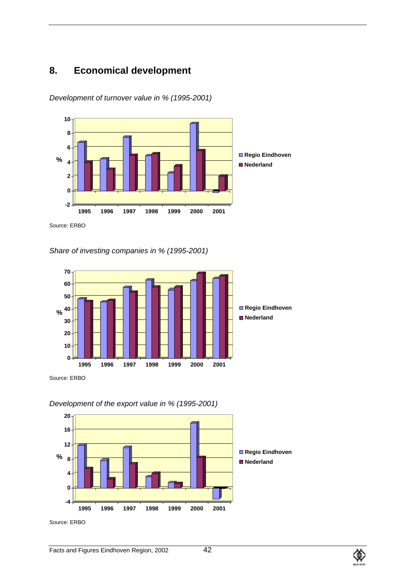# **8. Economical development**

*Development of turnover value in % (1995-2001)*



Source: ERBO

*Share of investing companies in % (1995-2001)*



Source: ERBO

*Development of the export value in % (1995-2001)*



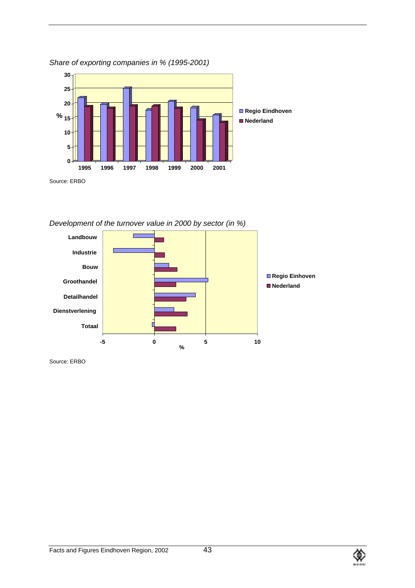

*Share of exporting companies in % (1995-2001)*

*Development of the turnover value in 2000 by sector (in %)*



Source: ERBO

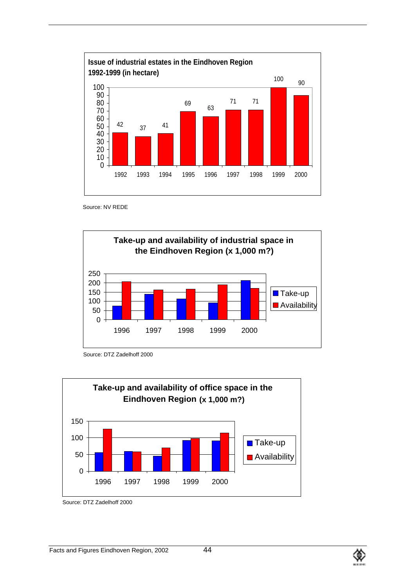

Source: NV REDE



Source: DTZ Zadelhoff 2000



Source: DTZ Zadelhoff 2000

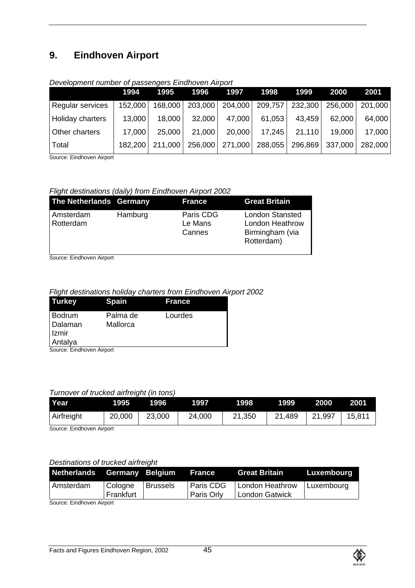# **9. Eindhoven Airport**

|                  | 1994    | 1995    | 1996    | 1997    | 1998    | 1999    | 2000    | 2001    |
|------------------|---------|---------|---------|---------|---------|---------|---------|---------|
| Regular services | 152,000 | 168,000 | 203,000 | 204,000 | 209,757 | 232,300 | 256,000 | 201,000 |
| Holiday charters | 13,000  | 18,000  | 32,000  | 47,000  | 61,053  | 43,459  | 62,000  | 64,000  |
| Other charters   | 17,000  | 25,000  | 21,000  | 20,000  | 17,245  | 21,110  | 19,000  | 17,000  |
| Total            | 182,200 | 211,000 | 256,000 | 271,000 | 288,055 | 296,869 | 337,000 | 282,000 |

### *Development number of passengers Eindhoven Airport*

Source: Eindhoven Airport

# *Flight destinations (daily) from Eindhoven Airport 2002*

| The Netherlands Germany |         | France                         | <b>Great Britain</b>                                                              |
|-------------------------|---------|--------------------------------|-----------------------------------------------------------------------------------|
| Amsterdam<br>Rotterdam  | Hamburg | Paris CDG<br>Le Mans<br>Cannes | <b>London Stansted</b><br><b>London Heathrow</b><br>Birmingham (via<br>Rotterdam) |

Source: Eindhoven Airport

# *Flight destinations holiday charters from Eindhoven Airport 2002*

| <b>Turkey</b>                           | <b>Spain</b>         | <b>France</b> |  |
|-----------------------------------------|----------------------|---------------|--|
| Bodrum<br>Dalaman<br>I Izmir<br>Antalya | Palma de<br>Mallorca | Lourdes       |  |
| Source: Eindhoven Airport               |                      |               |  |

#### *Turnover of trucked airfreight (in tons)*

| Year                      | 1995   | 1996   | 1997   | 1998   | 1999   | 2000   | 2001   |
|---------------------------|--------|--------|--------|--------|--------|--------|--------|
| Airfreight                | 20,000 | 23,000 | 24,000 | 21,350 | 21,489 | 21,997 | 15,811 |
| Courses Finalesses Almont |        |        |        |        |        |        |        |

Source: Eindhoven Airport

# *Destinations of trucked airfreight*

| <b>Netherlands Germany Belgium</b> |           |                 | <b>The France</b> | <b>Great Britain</b> | Luxembourg |
|------------------------------------|-----------|-----------------|-------------------|----------------------|------------|
| Amsterdam                          | Cologne   | <b>Brussels</b> | <b>Paris CDG</b>  | London Heathrow      | Luxembourg |
|                                    | Frankfurt |                 | <b>Paris Orly</b> | London Gatwick       |            |

Source: Eindhoven Airport

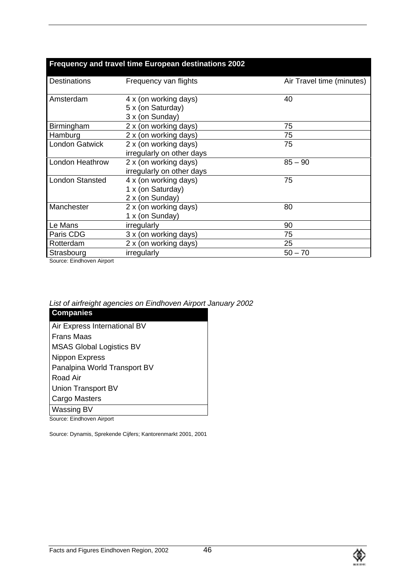|                                                              | Frequency and travel time European destinations 2002          |                           |
|--------------------------------------------------------------|---------------------------------------------------------------|---------------------------|
| <b>Destinations</b>                                          | Frequency van flights                                         | Air Travel time (minutes) |
| Amsterdam                                                    | 4 x (on working days)<br>5 x (on Saturday)<br>3 x (on Sunday) | 40                        |
| Birmingham                                                   | 2 x (on working days)                                         | 75                        |
| Hamburg                                                      | 2 x (on working days)                                         | 75                        |
| <b>London Gatwick</b>                                        | 2 x (on working days)<br>irregularly on other days            | 75                        |
| London Heathrow                                              | 2 x (on working days)<br>irregularly on other days            | $85 - 90$                 |
| <b>London Stansted</b>                                       | 4 x (on working days)<br>1 x (on Saturday)<br>2 x (on Sunday) | 75                        |
| Manchester                                                   | 2 x (on working days)<br>1 x (on Sunday)                      | 80                        |
| Le Mans                                                      | irregularly                                                   | 90                        |
| Paris CDG                                                    | 3 x (on working days)                                         | 75                        |
| Rotterdam                                                    | 2 x (on working days)                                         | 25                        |
| Strasbourg<br><b>Contract Lating Contract Administration</b> | irregularly                                                   | $50 - 70$                 |

Source: Eindhoven Airport

*List of airfreight agencies on Eindhoven Airport January 2002*

| <b>Companies</b>                |
|---------------------------------|
| Air Express International BV    |
| <b>Frans Maas</b>               |
| <b>MSAS Global Logistics BV</b> |
| Nippon Express                  |
| Panalpina World Transport BV    |
| Road Air                        |
| Union Transport BV              |
| Cargo Masters                   |
| Wassing BV                      |
|                                 |

Source: Eindhoven Airport

Source: Dynamis, Sprekende Cijfers; Kantorenmarkt 2001, 2001

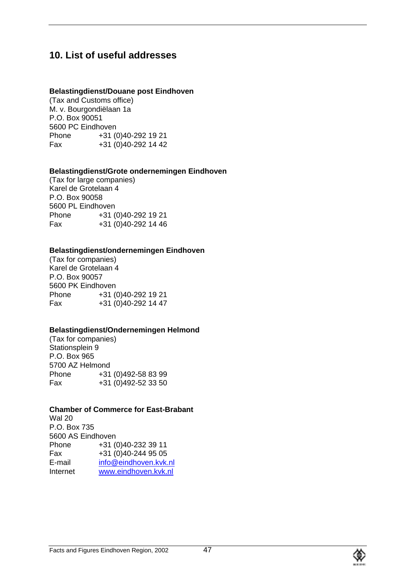# **10. List of useful addresses**

### **Belastingdienst/Douane post Eindhoven**

(Tax and Customs office) M. v. Bourgondiëlaan 1a P.O. Box 90051 5600 PC Eindhoven Phone +31 (0)40-292 19 21 Fax +31 (0)40-292 14 42

### **Belastingdienst/Grote ondernemingen Eindhoven**

(Tax for large companies) Karel de Grotelaan 4 P.O. Box 90058 5600 PL Eindhoven Phone +31 (0)40-292 19 21 Fax +31 (0)40-292 14 46

### **Belastingdienst/ondernemingen Eindhoven**

(Tax for companies) Karel de Grotelaan 4 P.O. Box 90057 5600 PK Eindhoven Phone +31 (0)40-292 19 21 Fax +31 (0)40-292 14 47

# **Belastingdienst/Ondernemingen Helmond**

(Tax for companies) Stationsplein 9 P.O. Box 965 5700 AZ Helmond Phone  $+31 (0)492-58 83 99$ Fax +31 (0)492-52 33 50

# **Chamber of Commerce for East-Brabant**

Wal 20 P.O. Box 735 5600 AS Eindhoven Phone +31 (0)40-232 39 11 Fax +31 (0)40-244 95 05<br>E-mail info@eindhoven.kyk. info@eindhoven.kvk.nl Internet www.eindhoven.kvk.nl

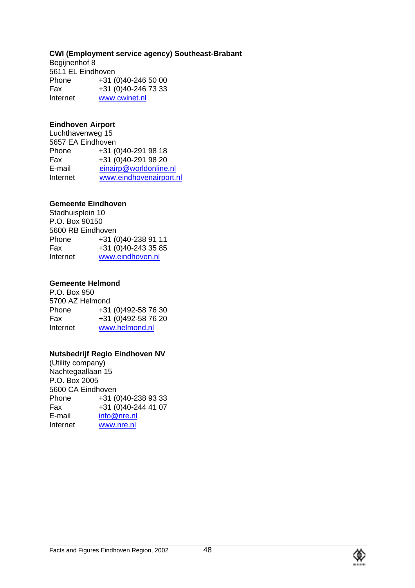### **CWI (Employment service agency) Southeast-Brabant**

Begijnenhof 8 5611 EL Eindhoven<br>Phone +31 ( +31 (0)40-246 50 00 Fax +31 (0)40-246 73 33 Internet www.cwinet.nl

### **Eindhoven Airport**

Luchthavenweg 15 5657 EA Eindhoven Phone +31 (0)40-291 98 18 Fax +31 (0)40-291 98 20 E-mail einairp@worldonline.nl Internet www.eindhovenairport.nl

# **Gemeente Eindhoven**

Stadhuisplein 10 P.O. Box 90150 5600 RB Eindhoven Phone +31 (0)40-238 91 11 Fax +31 (0)40-243 35 85 Internet www.eindhoven.nl

# **Gemeente Helmond**

P.O. Box 950 5700 AZ Helmond Phone +31 (0)492-58 76 30 Fax +31 (0)492-58 76 20 Internet www.helmond.nl

# **Nutsbedrijf Regio Eindhoven NV**

(Utility company) Nachtegaallaan 15 P.O. Box 2005 5600 CA Eindhoven Phone  $+31 (0)40-2389333$ Fax +31 (0)40-244 41 07 E-mail info@nre.nl<br>Internet www.nre.nl www.nre.nl